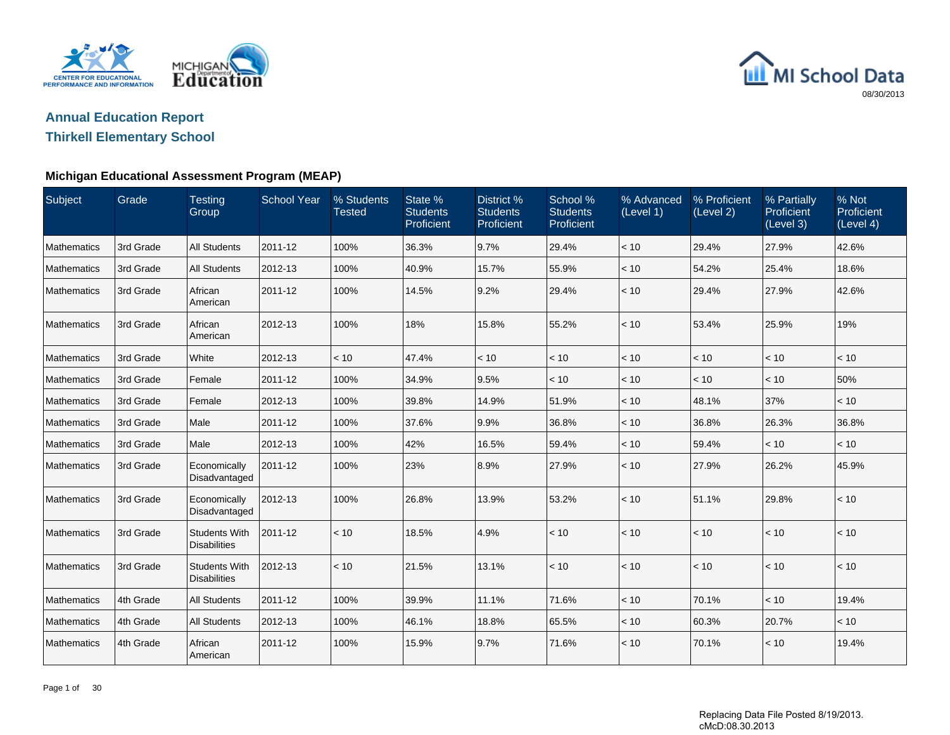



## **Thirkell Elementary School**

| Subject            | Grade     | <b>Testing</b><br>Group                     | <b>School Year</b> | % Students<br><b>Tested</b> | State %<br><b>Students</b><br>Proficient | District %<br><b>Students</b><br>Proficient | School %<br><b>Students</b><br>Proficient | % Advanced<br>(Level 1) | % Proficient<br>(Level 2) | % Partially<br>Proficient<br>(Level 3) | % Not<br>Proficient<br>(Level 4) |
|--------------------|-----------|---------------------------------------------|--------------------|-----------------------------|------------------------------------------|---------------------------------------------|-------------------------------------------|-------------------------|---------------------------|----------------------------------------|----------------------------------|
| Mathematics        | 3rd Grade | <b>All Students</b>                         | 2011-12            | 100%                        | 36.3%                                    | 9.7%                                        | 29.4%                                     | < 10                    | 29.4%                     | 27.9%                                  | 42.6%                            |
| Mathematics        | 3rd Grade | <b>All Students</b>                         | 2012-13            | 100%                        | 40.9%                                    | 15.7%                                       | 55.9%                                     | < 10                    | 54.2%                     | 25.4%                                  | 18.6%                            |
| Mathematics        | 3rd Grade | African<br>American                         | 2011-12            | 100%                        | 14.5%                                    | 9.2%                                        | 29.4%                                     | < 10                    | 29.4%                     | 27.9%                                  | 42.6%                            |
| Mathematics        | 3rd Grade | African<br>American                         | 2012-13            | 100%                        | 18%                                      | 15.8%                                       | 55.2%                                     | < 10                    | 53.4%                     | 25.9%                                  | 19%                              |
| Mathematics        | 3rd Grade | White                                       | 2012-13            | < 10                        | 47.4%                                    | < 10                                        | < 10                                      | < 10                    | < 10                      | < 10                                   | < 10                             |
| Mathematics        | 3rd Grade | Female                                      | 2011-12            | 100%                        | 34.9%                                    | 9.5%                                        | < 10                                      | < 10                    | < 10                      | < 10                                   | 50%                              |
| Mathematics        | 3rd Grade | Female                                      | 2012-13            | 100%                        | 39.8%                                    | 14.9%                                       | 51.9%                                     | < 10                    | 48.1%                     | 37%                                    | < 10                             |
| Mathematics        | 3rd Grade | Male                                        | 2011-12            | 100%                        | 37.6%                                    | 9.9%                                        | 36.8%                                     | < 10                    | 36.8%                     | 26.3%                                  | 36.8%                            |
| Mathematics        | 3rd Grade | Male                                        | 2012-13            | 100%                        | 42%                                      | 16.5%                                       | 59.4%                                     | < 10                    | 59.4%                     | < 10                                   | < 10                             |
| Mathematics        | 3rd Grade | Economically<br>Disadvantaged               | 2011-12            | 100%                        | 23%                                      | 8.9%                                        | 27.9%                                     | < 10                    | 27.9%                     | 26.2%                                  | 45.9%                            |
| <b>Mathematics</b> | 3rd Grade | Economically<br>Disadvantaged               | 2012-13            | 100%                        | 26.8%                                    | 13.9%                                       | 53.2%                                     | < 10                    | 51.1%                     | 29.8%                                  | < 10                             |
| Mathematics        | 3rd Grade | <b>Students With</b><br><b>Disabilities</b> | 2011-12            | < 10                        | 18.5%                                    | 4.9%                                        | < 10                                      | < 10                    | < 10                      | < 10                                   | < 10                             |
| Mathematics        | 3rd Grade | <b>Students With</b><br><b>Disabilities</b> | 2012-13            | < 10                        | 21.5%                                    | 13.1%                                       | < 10                                      | < 10                    | < 10                      | < 10                                   | < 10                             |
| Mathematics        | 4th Grade | <b>All Students</b>                         | 2011-12            | 100%                        | 39.9%                                    | 11.1%                                       | 71.6%                                     | < 10                    | 70.1%                     | < 10                                   | 19.4%                            |
| Mathematics        | 4th Grade | <b>All Students</b>                         | 2012-13            | 100%                        | 46.1%                                    | 18.8%                                       | 65.5%                                     | < 10                    | 60.3%                     | 20.7%                                  | < 10                             |
| Mathematics        | 4th Grade | African<br>American                         | 2011-12            | 100%                        | 15.9%                                    | 9.7%                                        | 71.6%                                     | < 10                    | 70.1%                     | < 10                                   | 19.4%                            |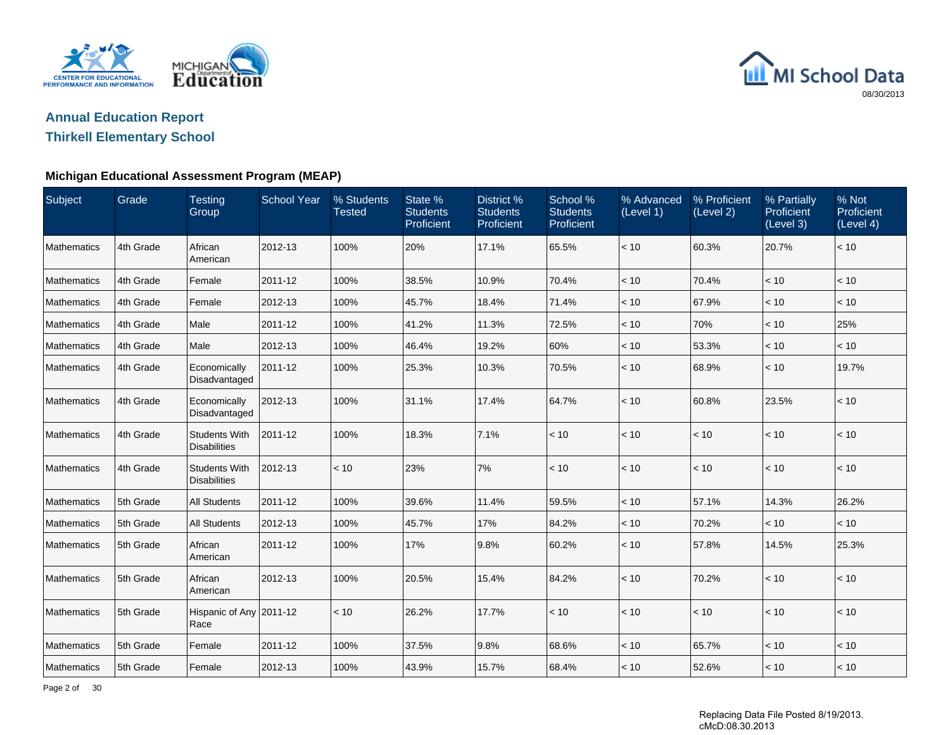



## **Thirkell Elementary School**

| Subject            | Grade     | <b>Testing</b><br>Group                     | <b>School Year</b> | % Students<br><b>Tested</b> | State %<br><b>Students</b><br>Proficient | District %<br><b>Students</b><br>Proficient | School %<br><b>Students</b><br>Proficient | % Advanced<br>(Level 1) | % Proficient<br>(Level 2) | % Partially<br>Proficient<br>(Level 3) | % Not<br>Proficient<br>(Level 4) |
|--------------------|-----------|---------------------------------------------|--------------------|-----------------------------|------------------------------------------|---------------------------------------------|-------------------------------------------|-------------------------|---------------------------|----------------------------------------|----------------------------------|
| Mathematics        | 4th Grade | African<br>American                         | 2012-13            | 100%                        | 20%                                      | 17.1%                                       | 65.5%                                     | < 10                    | 60.3%                     | 20.7%                                  | < 10                             |
| Mathematics        | 4th Grade | Female                                      | 2011-12            | 100%                        | 38.5%                                    | 10.9%                                       | 70.4%                                     | < 10                    | 70.4%                     | < 10                                   | < 10                             |
| Mathematics        | 4th Grade | Female                                      | 2012-13            | 100%                        | 45.7%                                    | 18.4%                                       | 71.4%                                     | < 10                    | 67.9%                     | < 10                                   | < 10                             |
| <b>Mathematics</b> | 4th Grade | Male                                        | 2011-12            | 100%                        | 41.2%                                    | 11.3%                                       | 72.5%                                     | < 10                    | 70%                       | < 10                                   | 25%                              |
| Mathematics        | 4th Grade | Male                                        | 2012-13            | 100%                        | 46.4%                                    | 19.2%                                       | 60%                                       | < 10                    | 53.3%                     | < 10                                   | < 10                             |
| Mathematics        | 4th Grade | Economically<br>Disadvantaged               | 2011-12            | 100%                        | 25.3%                                    | 10.3%                                       | 70.5%                                     | < 10                    | 68.9%                     | < 10                                   | 19.7%                            |
| Mathematics        | 4th Grade | Economically<br>Disadvantaged               | 2012-13            | 100%                        | 31.1%                                    | 17.4%                                       | 64.7%                                     | < 10                    | 60.8%                     | 23.5%                                  | < 10                             |
| Mathematics        | 4th Grade | <b>Students With</b><br><b>Disabilities</b> | 2011-12            | 100%                        | 18.3%                                    | 7.1%                                        | < 10                                      | < 10                    | < 10                      | < 10                                   | < 10                             |
| <b>Mathematics</b> | 4th Grade | <b>Students With</b><br><b>Disabilities</b> | 2012-13            | < 10                        | 23%                                      | 7%                                          | < 10                                      | < 10                    | < 10                      | < 10                                   | < 10                             |
| Mathematics        | 5th Grade | <b>All Students</b>                         | 2011-12            | 100%                        | 39.6%                                    | 11.4%                                       | 59.5%                                     | < 10                    | 57.1%                     | 14.3%                                  | 26.2%                            |
| Mathematics        | 5th Grade | <b>All Students</b>                         | 2012-13            | 100%                        | 45.7%                                    | 17%                                         | 84.2%                                     | < 10                    | 70.2%                     | < 10                                   | < 10                             |
| Mathematics        | 5th Grade | African<br>American                         | 2011-12            | 100%                        | 17%                                      | 9.8%                                        | 60.2%                                     | < 10                    | 57.8%                     | 14.5%                                  | 25.3%                            |
| <b>Mathematics</b> | 5th Grade | African<br>American                         | 2012-13            | 100%                        | 20.5%                                    | 15.4%                                       | 84.2%                                     | < 10                    | 70.2%                     | < 10                                   | < 10                             |
| Mathematics        | 5th Grade | Hispanic of Any 2011-12<br>Race             |                    | < 10                        | 26.2%                                    | 17.7%                                       | < 10                                      | < 10                    | < 10                      | < 10                                   | < 10                             |
| Mathematics        | 5th Grade | Female                                      | 2011-12            | 100%                        | 37.5%                                    | 9.8%                                        | 68.6%                                     | < 10                    | 65.7%                     | < 10                                   | < 10                             |
| Mathematics        | 5th Grade | Female                                      | 2012-13            | 100%                        | 43.9%                                    | 15.7%                                       | 68.4%                                     | < 10                    | 52.6%                     | < 10                                   | < 10                             |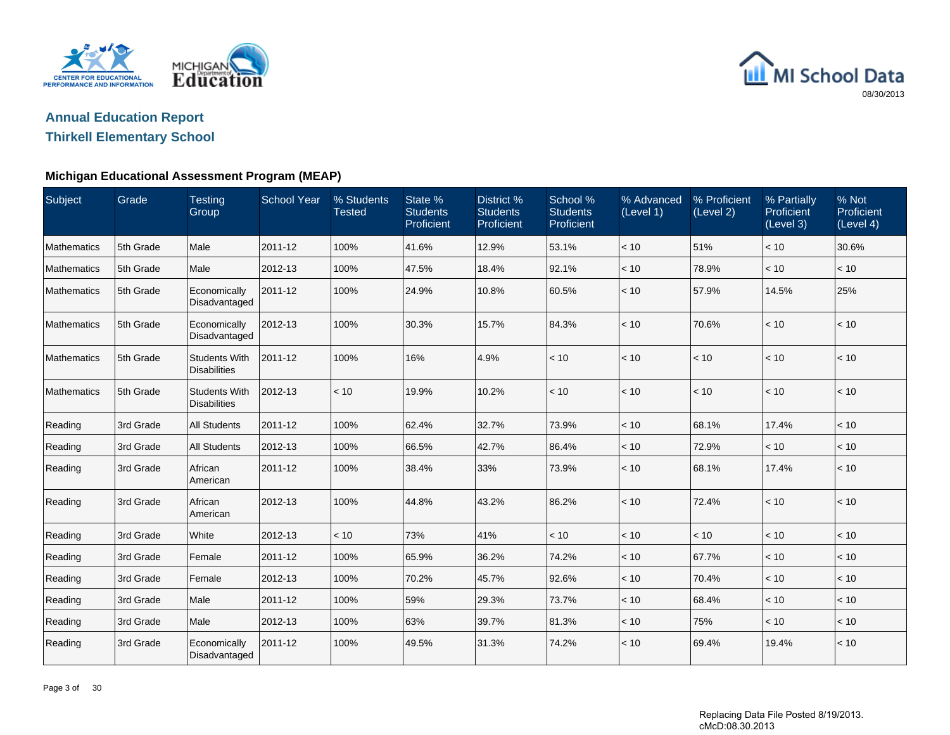



## **Thirkell Elementary School**

| Subject     | Grade     | <b>Testing</b><br>Group                     | <b>School Year</b> | % Students<br><b>Tested</b> | State %<br><b>Students</b><br>Proficient | District %<br><b>Students</b><br>Proficient | School %<br><b>Students</b><br>Proficient | % Advanced<br>(Level 1) | % Proficient<br>(Level 2) | % Partially<br>Proficient<br>(Level 3) | % Not<br>Proficient<br>(Level 4) |
|-------------|-----------|---------------------------------------------|--------------------|-----------------------------|------------------------------------------|---------------------------------------------|-------------------------------------------|-------------------------|---------------------------|----------------------------------------|----------------------------------|
| Mathematics | 5th Grade | Male                                        | 2011-12            | 100%                        | 41.6%                                    | 12.9%                                       | 53.1%                                     | < 10                    | 51%                       | < 10                                   | 30.6%                            |
| Mathematics | 5th Grade | Male                                        | 2012-13            | 100%                        | 47.5%                                    | 18.4%                                       | 92.1%                                     | < 10                    | 78.9%                     | < 10                                   | < 10                             |
| Mathematics | 5th Grade | Economically<br>Disadvantaged               | 2011-12            | 100%                        | 24.9%                                    | 10.8%                                       | 60.5%                                     | < 10                    | 57.9%                     | 14.5%                                  | 25%                              |
| Mathematics | 5th Grade | Economically<br>Disadvantaged               | 2012-13            | 100%                        | 30.3%                                    | 15.7%                                       | 84.3%                                     | < 10                    | 70.6%                     | < 10                                   | < 10                             |
| Mathematics | 5th Grade | <b>Students With</b><br><b>Disabilities</b> | 2011-12            | 100%                        | 16%                                      | 4.9%                                        | < 10                                      | < 10                    | < 10                      | < 10                                   | < 10                             |
| Mathematics | 5th Grade | <b>Students With</b><br><b>Disabilities</b> | 2012-13            | < 10                        | 19.9%                                    | 10.2%                                       | < 10                                      | < 10                    | < 10                      | < 10                                   | < 10                             |
| Reading     | 3rd Grade | <b>All Students</b>                         | 2011-12            | 100%                        | 62.4%                                    | 32.7%                                       | 73.9%                                     | < 10                    | 68.1%                     | 17.4%                                  | < 10                             |
| Reading     | 3rd Grade | <b>All Students</b>                         | 2012-13            | 100%                        | 66.5%                                    | 42.7%                                       | 86.4%                                     | < 10                    | 72.9%                     | < 10                                   | < 10                             |
| Reading     | 3rd Grade | African<br>American                         | 2011-12            | 100%                        | 38.4%                                    | 33%                                         | 73.9%                                     | < 10                    | 68.1%                     | 17.4%                                  | < 10                             |
| Reading     | 3rd Grade | African<br>American                         | 2012-13            | 100%                        | 44.8%                                    | 43.2%                                       | 86.2%                                     | < 10                    | 72.4%                     | < 10                                   | < 10                             |
| Reading     | 3rd Grade | White                                       | 2012-13            | < 10                        | 73%                                      | 41%                                         | < 10                                      | < 10                    | < 10                      | < 10                                   | < 10                             |
| Reading     | 3rd Grade | Female                                      | 2011-12            | 100%                        | 65.9%                                    | 36.2%                                       | 74.2%                                     | < 10                    | 67.7%                     | < 10                                   | < 10                             |
| Reading     | 3rd Grade | Female                                      | 2012-13            | 100%                        | 70.2%                                    | 45.7%                                       | 92.6%                                     | < 10                    | 70.4%                     | < 10                                   | < 10                             |
| Reading     | 3rd Grade | Male                                        | 2011-12            | 100%                        | 59%                                      | 29.3%                                       | 73.7%                                     | < 10                    | 68.4%                     | < 10                                   | < 10                             |
| Reading     | 3rd Grade | Male                                        | 2012-13            | 100%                        | 63%                                      | 39.7%                                       | 81.3%                                     | < 10                    | 75%                       | < 10                                   | < 10                             |
| Reading     | 3rd Grade | Economically<br>Disadvantaged               | 2011-12            | 100%                        | 49.5%                                    | 31.3%                                       | 74.2%                                     | < 10                    | 69.4%                     | 19.4%                                  | < 10                             |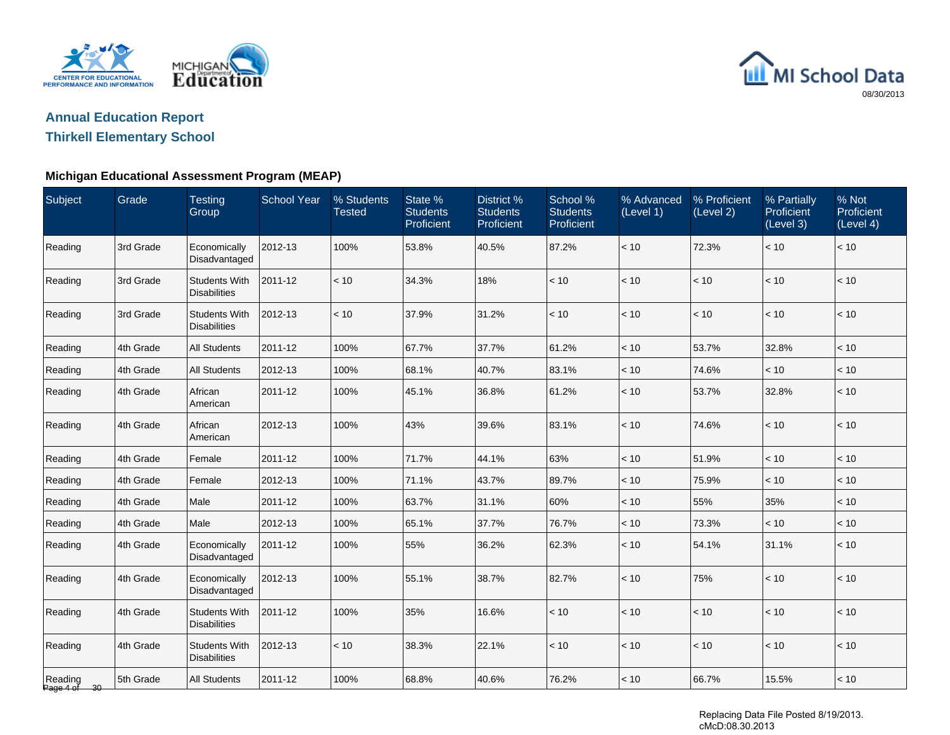



## **Thirkell Elementary School**

#### **Michigan Educational Assessment Program (MEAP)**

| Subject                 | Grade     | <b>Testing</b><br>Group                     | <b>School Year</b> | % Students<br><b>Tested</b> | State %<br><b>Students</b><br>Proficient | District %<br><b>Students</b><br>Proficient | School %<br><b>Students</b><br>Proficient | % Advanced<br>(Level 1) | % Proficient<br>(Level 2) | % Partially<br>Proficient<br>(Level 3) | % Not<br>Proficient<br>(Level 4) |
|-------------------------|-----------|---------------------------------------------|--------------------|-----------------------------|------------------------------------------|---------------------------------------------|-------------------------------------------|-------------------------|---------------------------|----------------------------------------|----------------------------------|
| Reading                 | 3rd Grade | Economically<br>Disadvantaged               | 2012-13            | 100%                        | 53.8%                                    | 40.5%                                       | 87.2%                                     | $<10$                   | 72.3%                     | < 10                                   | < 10                             |
| Reading                 | 3rd Grade | <b>Students With</b><br><b>Disabilities</b> | 2011-12            | < 10                        | 34.3%                                    | 18%                                         | < 10                                      | < 10                    | < 10                      | < 10                                   | < 10                             |
| Reading                 | 3rd Grade | <b>Students With</b><br><b>Disabilities</b> | 2012-13            | < 10                        | 37.9%                                    | 31.2%                                       | < 10                                      | < 10                    | < 10                      | < 10                                   | < 10                             |
| Reading                 | 4th Grade | <b>All Students</b>                         | 2011-12            | 100%                        | 67.7%                                    | 37.7%                                       | 61.2%                                     | < 10                    | 53.7%                     | 32.8%                                  | < 10                             |
| Reading                 | 4th Grade | <b>All Students</b>                         | 2012-13            | 100%                        | 68.1%                                    | 40.7%                                       | 83.1%                                     | $<10$                   | 74.6%                     | < 10                                   | < 10                             |
| Reading                 | 4th Grade | African<br>American                         | 2011-12            | 100%                        | 45.1%                                    | 36.8%                                       | 61.2%                                     | < 10                    | 53.7%                     | 32.8%                                  | < 10                             |
| Reading                 | 4th Grade | African<br>American                         | 2012-13            | 100%                        | 43%                                      | 39.6%                                       | 83.1%                                     | $<10$                   | 74.6%                     | < 10                                   | < 10                             |
| Reading                 | 4th Grade | Female                                      | 2011-12            | 100%                        | 71.7%                                    | 44.1%                                       | 63%                                       | < 10                    | 51.9%                     | < 10                                   | < 10                             |
| Reading                 | 4th Grade | Female                                      | 2012-13            | 100%                        | 71.1%                                    | 43.7%                                       | 89.7%                                     | < 10                    | 75.9%                     | < 10                                   | < 10                             |
| Reading                 | 4th Grade | Male                                        | 2011-12            | 100%                        | 63.7%                                    | 31.1%                                       | 60%                                       | < 10                    | 55%                       | 35%                                    | < 10                             |
| Reading                 | 4th Grade | Male                                        | 2012-13            | 100%                        | 65.1%                                    | 37.7%                                       | 76.7%                                     | < 10                    | 73.3%                     | < 10                                   | $<10$                            |
| Reading                 | 4th Grade | Economically<br>Disadvantaged               | 2011-12            | 100%                        | 55%                                      | 36.2%                                       | 62.3%                                     | < 10                    | 54.1%                     | 31.1%                                  | $<10$                            |
| Reading                 | 4th Grade | Economically<br>Disadvantaged               | 2012-13            | 100%                        | 55.1%                                    | 38.7%                                       | 82.7%                                     | $<10$                   | 75%                       | < 10                                   | < 10                             |
| Reading                 | 4th Grade | <b>Students With</b><br><b>Disabilities</b> | 2011-12            | 100%                        | 35%                                      | 16.6%                                       | < 10                                      | $<10$                   | $<10$                     | < 10                                   | < 10                             |
| Reading                 | 4th Grade | <b>Students With</b><br><b>Disabilities</b> | 2012-13            | < 10                        | 38.3%                                    | 22.1%                                       | < 10                                      | < 10                    | < 10                      | < 10                                   | < 10                             |
| Reading<br>Page 4 of 30 | 5th Grade | <b>All Students</b>                         | 2011-12            | 100%                        | 68.8%                                    | 40.6%                                       | 76.2%                                     | < 10                    | 66.7%                     | 15.5%                                  | < 10                             |

Replacing Data File Posted 8/19/2013. cMcD:08.30.2013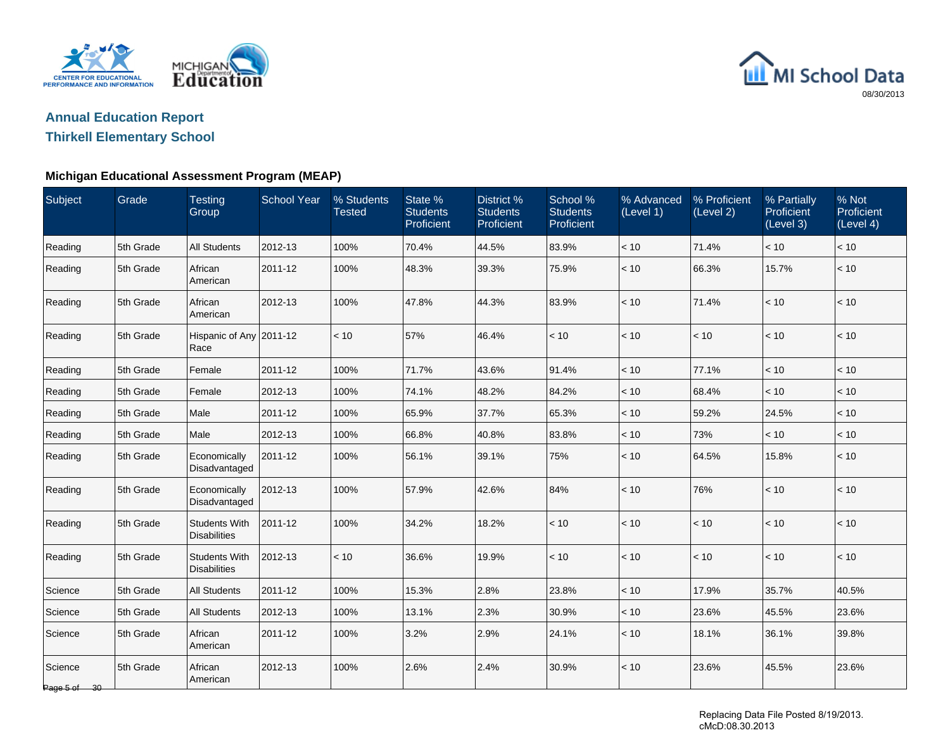



## **Thirkell Elementary School**

#### **Michigan Educational Assessment Program (MEAP)**

| Subject                 | Grade     | <b>Testing</b><br>Group                     | <b>School Year</b> | % Students<br><b>Tested</b> | State %<br><b>Students</b><br>Proficient | District %<br><b>Students</b><br>Proficient | School %<br><b>Students</b><br>Proficient | % Advanced<br>(Level 1) | % Proficient<br>(Level 2) | % Partially<br>Proficient<br>(Level 3) | % Not<br>Proficient<br>(Level 4) |
|-------------------------|-----------|---------------------------------------------|--------------------|-----------------------------|------------------------------------------|---------------------------------------------|-------------------------------------------|-------------------------|---------------------------|----------------------------------------|----------------------------------|
| Reading                 | 5th Grade | <b>All Students</b>                         | 2012-13            | 100%                        | 70.4%                                    | 44.5%                                       | 83.9%                                     | < 10                    | 71.4%                     | < 10                                   | < 10                             |
| Reading                 | 5th Grade | African<br>American                         | 2011-12            | 100%                        | 48.3%                                    | 39.3%                                       | 75.9%                                     | < 10                    | 66.3%                     | 15.7%                                  | < 10                             |
| Reading                 | 5th Grade | African<br>American                         | 2012-13            | 100%                        | 47.8%                                    | 44.3%                                       | 83.9%                                     | $<10$                   | 71.4%                     | $<10$                                  | $<10$                            |
| Reading                 | 5th Grade | Hispanic of Any 2011-12<br>Race             |                    | < 10                        | 57%                                      | 46.4%                                       | < 10                                      | $<10$                   | < 10                      | $<10$                                  | $<10$                            |
| Reading                 | 5th Grade | Female                                      | 2011-12            | 100%                        | 71.7%                                    | 43.6%                                       | 91.4%                                     | < 10                    | 77.1%                     | < 10                                   | < 10                             |
| Reading                 | 5th Grade | Female                                      | 2012-13            | 100%                        | 74.1%                                    | 48.2%                                       | 84.2%                                     | < 10                    | 68.4%                     | < 10                                   | < 10                             |
| Reading                 | 5th Grade | Male                                        | 2011-12            | 100%                        | 65.9%                                    | 37.7%                                       | 65.3%                                     | < 10                    | 59.2%                     | 24.5%                                  | < 10                             |
| Reading                 | 5th Grade | Male                                        | 2012-13            | 100%                        | 66.8%                                    | 40.8%                                       | 83.8%                                     | < 10                    | 73%                       | < 10                                   | < 10                             |
| Reading                 | 5th Grade | Economically<br>Disadvantaged               | 2011-12            | 100%                        | 56.1%                                    | 39.1%                                       | 75%                                       | < 10                    | 64.5%                     | 15.8%                                  | < 10                             |
| Reading                 | 5th Grade | Economically<br>Disadvantaged               | 2012-13            | 100%                        | 57.9%                                    | 42.6%                                       | 84%                                       | < 10                    | 76%                       | < 10                                   | < 10                             |
| Reading                 | 5th Grade | <b>Students With</b><br><b>Disabilities</b> | 2011-12            | 100%                        | 34.2%                                    | 18.2%                                       | < 10                                      | < 10                    | < 10                      | < 10                                   | < 10                             |
| Reading                 | 5th Grade | <b>Students With</b><br><b>Disabilities</b> | 2012-13            | < 10                        | 36.6%                                    | 19.9%                                       | < 10                                      | < 10                    | < 10                      | $<10$                                  | < 10                             |
| Science                 | 5th Grade | <b>All Students</b>                         | 2011-12            | 100%                        | 15.3%                                    | 2.8%                                        | 23.8%                                     | < 10                    | 17.9%                     | 35.7%                                  | 40.5%                            |
| Science                 | 5th Grade | <b>All Students</b>                         | 2012-13            | 100%                        | 13.1%                                    | 2.3%                                        | 30.9%                                     | < 10                    | 23.6%                     | 45.5%                                  | 23.6%                            |
| Science                 | 5th Grade | African<br>American                         | 2011-12            | 100%                        | 3.2%                                     | 2.9%                                        | 24.1%                                     | < 10                    | 18.1%                     | 36.1%                                  | 39.8%                            |
| Science<br>Page 5 of 30 | 5th Grade | African<br>American                         | 2012-13            | 100%                        | 2.6%                                     | 2.4%                                        | 30.9%                                     | < 10                    | 23.6%                     | 45.5%                                  | 23.6%                            |

Replacing Data File Posted 8/19/2013. cMcD:08.30.2013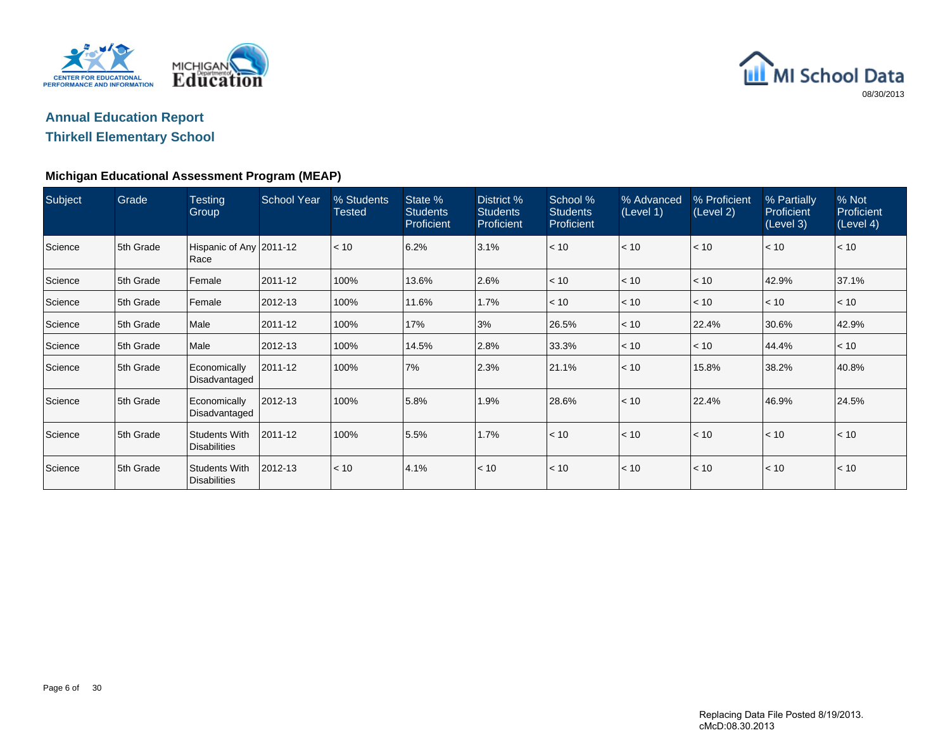



## **Thirkell Elementary School**

| Subject | Grade     | <b>Testing</b><br>Group              | <b>School Year</b> | % Students<br>Tested | State %<br><b>Students</b><br>Proficient | District %<br><b>Students</b><br>Proficient | School %<br><b>Students</b><br><b>Proficient</b> | % Advanced<br>(Level 1) | % Proficient<br>(Level 2) | % Partially<br>Proficient<br>(Level 3) | % Not<br>Proficient<br>(Level 4) |
|---------|-----------|--------------------------------------|--------------------|----------------------|------------------------------------------|---------------------------------------------|--------------------------------------------------|-------------------------|---------------------------|----------------------------------------|----------------------------------|
| Science | 5th Grade | Hispanic of Any 2011-12<br>Race      |                    | $\leq 10$            | 6.2%                                     | 3.1%                                        | < 10                                             | < 10                    | < 10                      | < 10                                   | < 10                             |
| Science | 5th Grade | Female                               | 2011-12            | 100%                 | 13.6%                                    | 2.6%                                        | < 10                                             | < 10                    | < 10                      | 42.9%                                  | 37.1%                            |
| Science | 5th Grade | Female                               | 2012-13            | 100%                 | 11.6%                                    | 1.7%                                        | < 10                                             | < 10                    | < 10                      | < 10                                   | < 10                             |
| Science | 5th Grade | Male                                 | 2011-12            | 100%                 | 17%                                      | 3%                                          | 26.5%                                            | < 10                    | 22.4%                     | 30.6%                                  | 42.9%                            |
| Science | 5th Grade | Male                                 | 2012-13            | 100%                 | 14.5%                                    | 2.8%                                        | 33.3%                                            | < 10                    | < 10                      | 44.4%                                  | < 10                             |
| Science | 5th Grade | Economically<br>Disadvantaged        | 2011-12            | 100%                 | 7%                                       | 2.3%                                        | 21.1%                                            | < 10                    | 15.8%                     | 38.2%                                  | 40.8%                            |
| Science | 5th Grade | Economically<br>Disadvantaged        | 2012-13            | 100%                 | 5.8%                                     | 1.9%                                        | 28.6%                                            | < 10                    | 22.4%                     | 46.9%                                  | 24.5%                            |
| Science | 5th Grade | <b>Students With</b><br>Disabilities | 2011-12            | 100%                 | 5.5%                                     | 1.7%                                        | < 10                                             | < 10                    | < 10                      | < 10                                   | < 10                             |
| Science | 5th Grade | Students With<br>Disabilities        | 2012-13            | $\vert$ < 10         | 4.1%                                     | < 10                                        | < 10                                             | < 10                    | < 10                      | < 10                                   | < 10                             |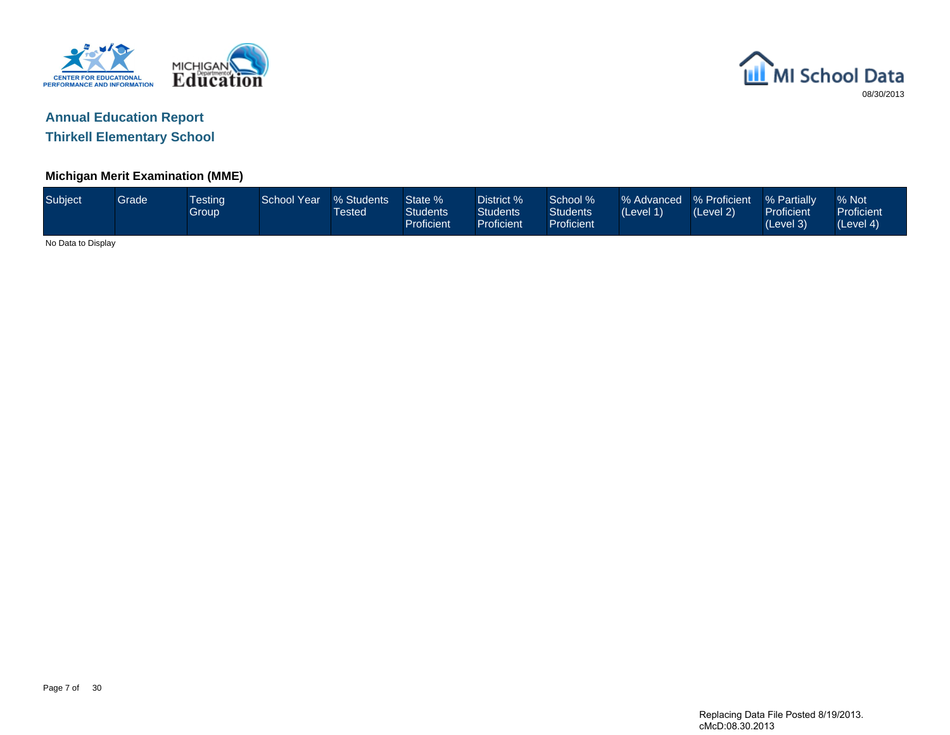



**Thirkell Elementary School**

#### **Michigan Merit Examination (MME)**

| Subject            | <b>Grade</b> | <b>Testing</b><br><b>Group</b> | School Year | % Students<br>Tested | State %<br><b>Students</b><br>Proficient | District %<br>Students<br>Proficient | School %<br>Students<br>Proficient | % Advanced % Proficient<br>(Level 1) | (Level 2) | % Partially<br><b>Proficient</b><br>(Level 3) | % Not<br>Proficient<br>(Level 4) |
|--------------------|--------------|--------------------------------|-------------|----------------------|------------------------------------------|--------------------------------------|------------------------------------|--------------------------------------|-----------|-----------------------------------------------|----------------------------------|
| No Data to Display |              |                                |             |                      |                                          |                                      |                                    |                                      |           |                                               |                                  |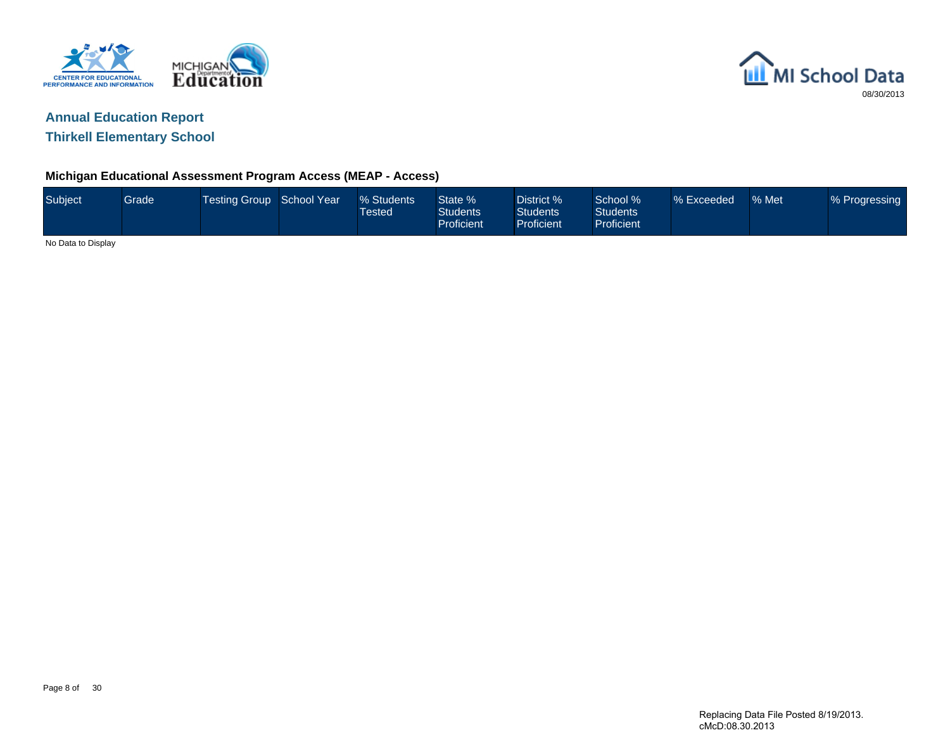



**Thirkell Elementary School**

### **Michigan Educational Assessment Program Access (MEAP - Access)**

| Subject            | Grade | Testing Group   School Year <sup>1</sup> | % Students<br>$\sf{Tested}^+$ | State %<br>Students<br><b>Proficient</b> | District %<br><b>Students</b><br>Proficient | School %<br>Students <sup>1</sup><br><b>Proficient</b> | % Exceeded | % Met | % Progressing |
|--------------------|-------|------------------------------------------|-------------------------------|------------------------------------------|---------------------------------------------|--------------------------------------------------------|------------|-------|---------------|
| No Data to Display |       |                                          |                               |                                          |                                             |                                                        |            |       |               |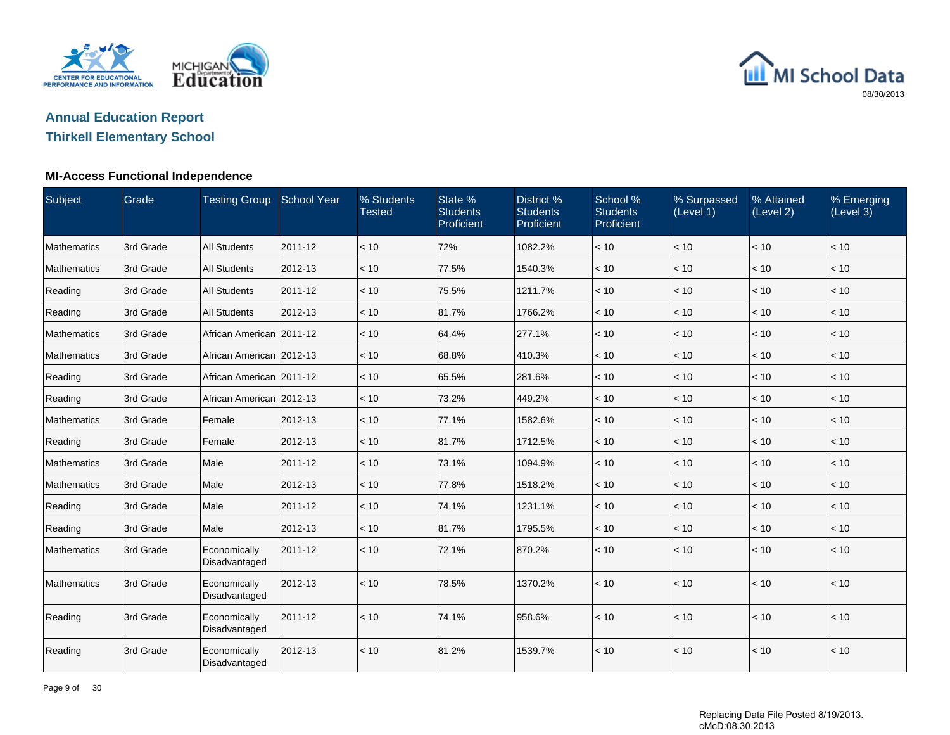

# **Annual Education Report**

## **Thirkell Elementary School**

### **MI-Access Functional Independence**

| Subject            | Grade     | <b>Testing Group School Year</b> |         | % Students<br><b>Tested</b> | State %<br><b>Students</b><br>Proficient | District %<br><b>Students</b><br>Proficient | School %<br><b>Students</b><br>Proficient | % Surpassed<br>(Level 1) | % Attained<br>(Level 2) | % Emerging<br>(Level 3) |
|--------------------|-----------|----------------------------------|---------|-----------------------------|------------------------------------------|---------------------------------------------|-------------------------------------------|--------------------------|-------------------------|-------------------------|
| Mathematics        | 3rd Grade | <b>All Students</b>              | 2011-12 | < 10                        | 72%                                      | 1082.2%                                     | < 10                                      | < 10                     | < 10                    | < 10                    |
| <b>Mathematics</b> | 3rd Grade | <b>All Students</b>              | 2012-13 | < 10                        | 77.5%                                    | 1540.3%                                     | < 10                                      | < 10                     | < 10                    | < 10                    |
| Reading            | 3rd Grade | <b>All Students</b>              | 2011-12 | < 10                        | 75.5%                                    | 1211.7%                                     | < 10                                      | < 10                     | < 10                    | < 10                    |
| Reading            | 3rd Grade | <b>All Students</b>              | 2012-13 | < 10                        | 81.7%                                    | 1766.2%                                     | < 10                                      | < 10                     | < 10                    | < 10                    |
| Mathematics        | 3rd Grade | African American 2011-12         |         | < 10                        | 64.4%                                    | 277.1%                                      | < 10                                      | < 10                     | < 10                    | < 10                    |
| Mathematics        | 3rd Grade | African American 2012-13         |         | < 10                        | 68.8%                                    | 410.3%                                      | < 10                                      | < 10                     | < 10                    | < 10                    |
| Reading            | 3rd Grade | African American   2011-12       |         | < 10                        | 65.5%                                    | 281.6%                                      | < 10                                      | < 10                     | < 10                    | < 10                    |
| Reading            | 3rd Grade | African American 2012-13         |         | < 10                        | 73.2%                                    | 449.2%                                      | < 10                                      | < 10                     | < 10                    | < 10                    |
| Mathematics        | 3rd Grade | Female                           | 2012-13 | < 10                        | 77.1%                                    | 1582.6%                                     | < 10                                      | < 10                     | < 10                    | < 10                    |
| Reading            | 3rd Grade | Female                           | 2012-13 | < 10                        | 81.7%                                    | 1712.5%                                     | < 10                                      | < 10                     | < 10                    | < 10                    |
| Mathematics        | 3rd Grade | Male                             | 2011-12 | < 10                        | 73.1%                                    | 1094.9%                                     | < 10                                      | < 10                     | < 10                    | $ $ < 10                |
| Mathematics        | 3rd Grade | Male                             | 2012-13 | < 10                        | 77.8%                                    | 1518.2%                                     | < 10                                      | < 10                     | < 10                    | < 10                    |
| Reading            | 3rd Grade | Male                             | 2011-12 | < 10                        | 74.1%                                    | 1231.1%                                     | < 10                                      | < 10                     | < 10                    | < 10                    |
| Reading            | 3rd Grade | Male                             | 2012-13 | < 10                        | 81.7%                                    | 1795.5%                                     | < 10                                      | < 10                     | < 10                    | $\vert$ < 10            |
| <b>Mathematics</b> | 3rd Grade | Economically<br>Disadvantaged    | 2011-12 | < 10                        | 72.1%                                    | 870.2%                                      | < 10                                      | < 10                     | < 10                    | $ $ < 10                |
| Mathematics        | 3rd Grade | Economically<br>Disadvantaged    | 2012-13 | < 10                        | 78.5%                                    | 1370.2%                                     | < 10                                      | < 10                     | < 10                    | < 10                    |
| Reading            | 3rd Grade | Economically<br>Disadvantaged    | 2011-12 | < 10                        | 74.1%                                    | 958.6%                                      | < 10                                      | < 10                     | < 10                    | $ $ < 10                |
| Reading            | 3rd Grade | Economically<br>Disadvantaged    | 2012-13 | < 10                        | 81.2%                                    | 1539.7%                                     | < 10                                      | < 10                     | < 10                    | < 10                    |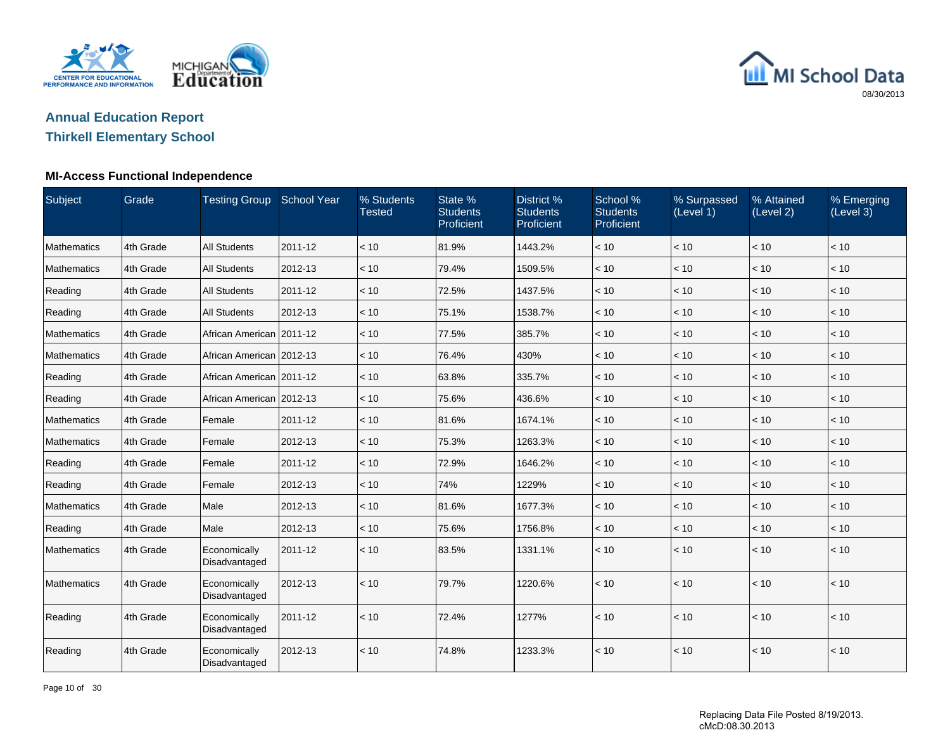

# **Annual Education Report**

## **Thirkell Elementary School**

### **MI-Access Functional Independence**

| Subject            | Grade     | <b>Testing Group School Year</b> |         | % Students<br><b>Tested</b> | State %<br><b>Students</b><br>Proficient | District %<br><b>Students</b><br>Proficient | School %<br><b>Students</b><br>Proficient | % Surpassed<br>(Level 1) | % Attained<br>(Level 2) | % Emerging<br>(Level 3) |
|--------------------|-----------|----------------------------------|---------|-----------------------------|------------------------------------------|---------------------------------------------|-------------------------------------------|--------------------------|-------------------------|-------------------------|
| Mathematics        | 4th Grade | <b>All Students</b>              | 2011-12 | < 10                        | 81.9%                                    | 1443.2%                                     | < 10                                      | < 10                     | < 10                    | < 10                    |
| <b>Mathematics</b> | 4th Grade | <b>All Students</b>              | 2012-13 | < 10                        | 79.4%                                    | 1509.5%                                     | < 10                                      | < 10                     | < 10                    | < 10                    |
| Reading            | 4th Grade | <b>All Students</b>              | 2011-12 | < 10                        | 72.5%                                    | 1437.5%                                     | < 10                                      | < 10                     | < 10                    | < 10                    |
| Reading            | 4th Grade | <b>All Students</b>              | 2012-13 | < 10                        | 75.1%                                    | 1538.7%                                     | < 10                                      | < 10                     | < 10                    | < 10                    |
| Mathematics        | 4th Grade | African American 2011-12         |         | < 10                        | 77.5%                                    | 385.7%                                      | < 10                                      | < 10                     | < 10                    | < 10                    |
| Mathematics        | 4th Grade | African American 2012-13         |         | < 10                        | 76.4%                                    | 430%                                        | < 10                                      | < 10                     | < 10                    | < 10                    |
| Reading            | 4th Grade | African American 2011-12         |         | < 10                        | 63.8%                                    | 335.7%                                      | < 10                                      | < 10                     | < 10                    | < 10                    |
| Reading            | 4th Grade | African American 2012-13         |         | < 10                        | 75.6%                                    | 436.6%                                      | < 10                                      | < 10                     | < 10                    | $\vert$ < 10            |
| Mathematics        | 4th Grade | Female                           | 2011-12 | < 10                        | 81.6%                                    | 1674.1%                                     | < 10                                      | < 10                     | < 10                    | < 10                    |
| Mathematics        | 4th Grade | Female                           | 2012-13 | < 10                        | 75.3%                                    | 1263.3%                                     | < 10                                      | < 10                     | < 10                    | < 10                    |
| Reading            | 4th Grade | Female                           | 2011-12 | < 10                        | 72.9%                                    | 1646.2%                                     | < 10                                      | < 10                     | < 10                    | $ $ < 10                |
| Reading            | 4th Grade | Female                           | 2012-13 | < 10                        | 74%                                      | 1229%                                       | $<10$                                     | < 10                     | < 10                    | < 10                    |
| Mathematics        | 4th Grade | Male                             | 2012-13 | < 10                        | 81.6%                                    | 1677.3%                                     | < 10                                      | < 10                     | < 10                    | < 10                    |
| Reading            | 4th Grade | Male                             | 2012-13 | < 10                        | 75.6%                                    | 1756.8%                                     | < 10                                      | < 10                     | < 10                    | $ $ < 10                |
| Mathematics        | 4th Grade | Economically<br>Disadvantaged    | 2011-12 | < 10                        | 83.5%                                    | 1331.1%                                     | < 10                                      | < 10                     | < 10                    | < 10                    |
| Mathematics        | 4th Grade | Economically<br>Disadvantaged    | 2012-13 | < 10                        | 79.7%                                    | 1220.6%                                     | < 10                                      | < 10                     | < 10                    | $ $ < 10                |
| Reading            | 4th Grade | Economically<br>Disadvantaged    | 2011-12 | < 10                        | 72.4%                                    | 1277%                                       | < 10                                      | < 10                     | < 10                    | $\vert$ < 10            |
| Reading            | 4th Grade | Economically<br>Disadvantaged    | 2012-13 | < 10                        | 74.8%                                    | 1233.3%                                     | < 10                                      | < 10                     | < 10                    | < 10                    |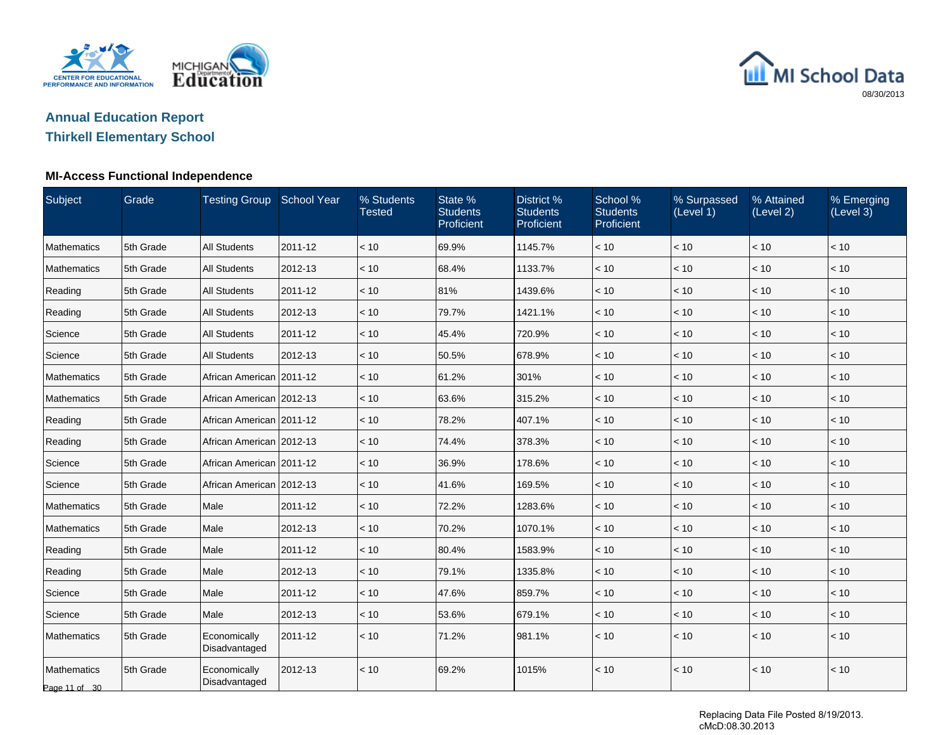

# **Annual Education Report**

## **Thirkell Elementary School**

### **MI-Access Functional Independence**

| Subject                      | Grade     | <b>Testing Group School Year</b> |         | % Students<br><b>Tested</b> | State %<br><b>Students</b><br>Proficient | District %<br><b>Students</b><br>Proficient | School %<br><b>Students</b><br>Proficient | % Surpassed<br>(Level 1) | % Attained<br>(Level 2) | % Emerging<br>(Level 3) |
|------------------------------|-----------|----------------------------------|---------|-----------------------------|------------------------------------------|---------------------------------------------|-------------------------------------------|--------------------------|-------------------------|-------------------------|
| <b>Mathematics</b>           | 5th Grade | <b>All Students</b>              | 2011-12 | < 10                        | 69.9%                                    | 1145.7%                                     | < 10                                      | < 10                     | < 10                    | < 10                    |
| <b>Mathematics</b>           | 5th Grade | <b>All Students</b>              | 2012-13 | < 10                        | 68.4%                                    | 1133.7%                                     | < 10                                      | < 10                     | < 10                    | < 10                    |
| Reading                      | 5th Grade | <b>All Students</b>              | 2011-12 | < 10                        | 81%                                      | 1439.6%                                     | < 10                                      | < 10                     | < 10                    | < 10                    |
| Reading                      | 5th Grade | <b>All Students</b>              | 2012-13 | < 10                        | 79.7%                                    | 1421.1%                                     | < 10                                      | < 10                     | < 10                    | < 10                    |
| Science                      | 5th Grade | <b>All Students</b>              | 2011-12 | < 10                        | 45.4%                                    | 720.9%                                      | < 10                                      | < 10                     | < 10                    | < 10                    |
| Science                      | 5th Grade | <b>All Students</b>              | 2012-13 | < 10                        | 50.5%                                    | 678.9%                                      | < 10                                      | < 10                     | < 10                    | < 10                    |
| Mathematics                  | 5th Grade | African American   2011-12       |         | < 10                        | 61.2%                                    | 301%                                        | < 10                                      | < 10                     | < 10                    | < 10                    |
| Mathematics                  | 5th Grade | African American 2012-13         |         | < 10                        | 63.6%                                    | 315.2%                                      | < 10                                      | < 10                     | < 10                    | < 10                    |
| Reading                      | 5th Grade | African American   2011-12       |         | < 10                        | 78.2%                                    | 407.1%                                      | < 10                                      | < 10                     | < 10                    | < 10                    |
| Reading                      | 5th Grade | African American 2012-13         |         | < 10                        | 74.4%                                    | 378.3%                                      | < 10                                      | < 10                     | < 10                    | < 10                    |
| Science                      | 5th Grade | African American 2011-12         |         | < 10                        | 36.9%                                    | 178.6%                                      | $<10$                                     | $<10$                    | < 10                    | < 10                    |
| Science                      | 5th Grade | African American 2012-13         |         | < 10                        | 41.6%                                    | 169.5%                                      | < 10                                      | < 10                     | < 10                    | < 10                    |
| <b>Mathematics</b>           | 5th Grade | Male                             | 2011-12 | < 10                        | 72.2%                                    | 1283.6%                                     | < 10                                      | < 10                     | < 10                    | < 10                    |
| <b>Mathematics</b>           | 5th Grade | Male                             | 2012-13 | < 10                        | 70.2%                                    | 1070.1%                                     | < 10                                      | < 10                     | < 10                    | < 10                    |
| Reading                      | 5th Grade | Male                             | 2011-12 | < 10                        | 80.4%                                    | 1583.9%                                     | < 10                                      | < 10                     | < 10                    | < 10                    |
| Reading                      | 5th Grade | Male                             | 2012-13 | < 10                        | 79.1%                                    | 1335.8%                                     | < 10                                      | < 10                     | $<10$                   | < 10                    |
| Science                      | 5th Grade | Male                             | 2011-12 | < 10                        | 47.6%                                    | 859.7%                                      | < 10                                      | < 10                     | < 10                    | < 10                    |
| Science                      | 5th Grade | Male                             | 2012-13 | $~<$ 10                     | 53.6%                                    | 679.1%                                      | < 10                                      | < 10                     | < 10                    | < 10                    |
| <b>Mathematics</b>           | 5th Grade | Economically<br>Disadvantaged    | 2011-12 | < 10                        | 71.2%                                    | 981.1%                                      | < 10                                      | < 10                     | < 10                    | < 10                    |
| Mathematics<br>Page 11 of 30 | 5th Grade | Economically<br>Disadvantaged    | 2012-13 | < 10                        | 69.2%                                    | 1015%                                       | < 10                                      | < 10                     | < 10                    | < 10                    |

Replacing Data File Posted 8/19/2013. cMcD:08.30.2013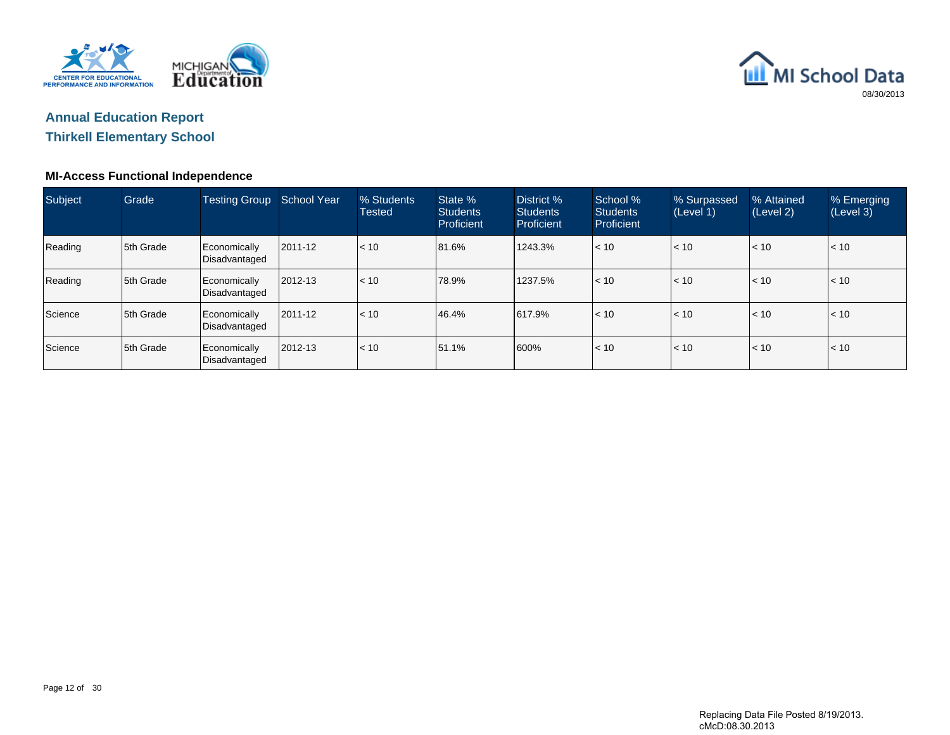



## **Thirkell Elementary School**

### **MI-Access Functional Independence**

| Subject | Grade      | <b>Testing Group</b>          | School Year | % Students<br><b>Tested</b> | State %<br><b>Students</b><br>Proficient | District %<br><b>Students</b><br>Proficient | School %<br><b>Students</b><br>Proficient | % Surpassed<br>(Level 1) | % Attained<br>(Level 2) | % Emerging<br>(Level 3) |
|---------|------------|-------------------------------|-------------|-----------------------------|------------------------------------------|---------------------------------------------|-------------------------------------------|--------------------------|-------------------------|-------------------------|
| Reading | 5th Grade  | Economically<br>Disadvantaged | 2011-12     | < 10                        | 81.6%                                    | 1243.3%                                     | < 10                                      | $\vert$ < 10             | < 10                    | < 10                    |
| Reading | 15th Grade | Economically<br>Disadvantaged | 2012-13     | l< 10                       | 78.9%                                    | 1237.5%                                     | $\leq 10$                                 | $\vert$ < 10             | $\leq 10$               | < 10                    |
| Science | 15th Grade | Economically<br>Disadvantaged | 2011-12     | < 10                        | 46.4%                                    | 617.9%                                      | < 10                                      | $\vert$ < 10             | < 10                    | < 10                    |
| Science | 15th Grade | Economically<br>Disadvantaged | 2012-13     | < 10                        | 51.1%                                    | 600%                                        | $\leq 10$                                 | $\vert$ < 10             | < 10                    | < 10                    |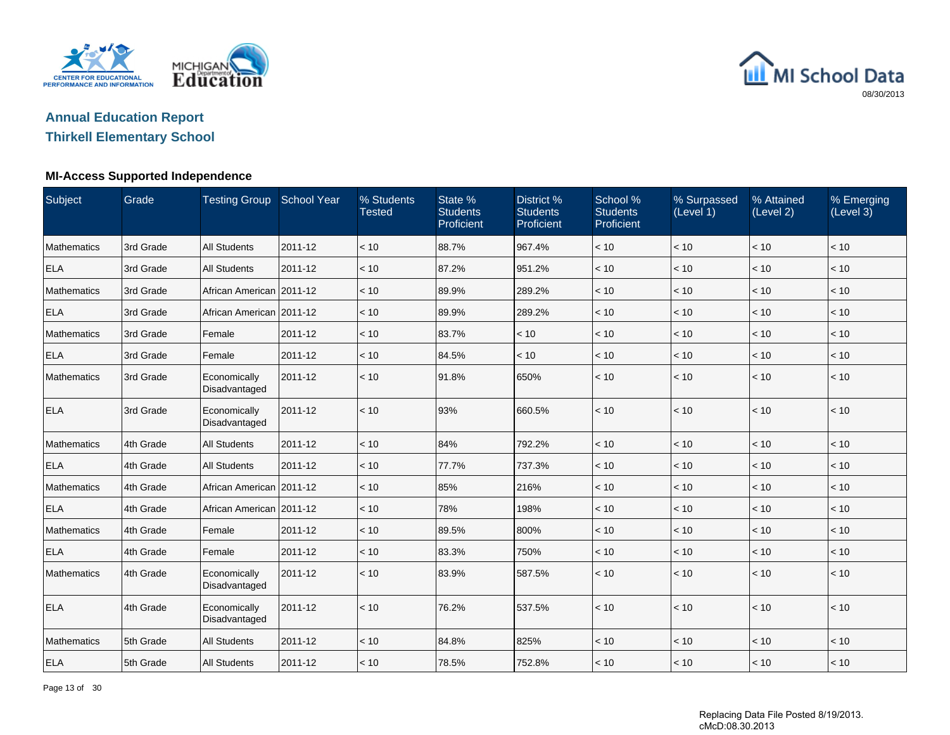

## **Annual Education Report**

## **Thirkell Elementary School**

#### **MI-Access Supported Independence**

| Subject            | Grade     | Testing Group School Year     |         | % Students<br><b>Tested</b> | State %<br><b>Students</b><br>Proficient | District %<br><b>Students</b><br>Proficient | School %<br><b>Students</b><br>Proficient | % Surpassed<br>(Level 1) | % Attained<br>(Level 2) | % Emerging<br>(Level 3) |
|--------------------|-----------|-------------------------------|---------|-----------------------------|------------------------------------------|---------------------------------------------|-------------------------------------------|--------------------------|-------------------------|-------------------------|
| <b>Mathematics</b> | 3rd Grade | <b>All Students</b>           | 2011-12 | < 10                        | 88.7%                                    | 967.4%                                      | < 10                                      | < 10                     | < 10                    | < 10                    |
| <b>ELA</b>         | 3rd Grade | <b>All Students</b>           | 2011-12 | < 10                        | 87.2%                                    | 951.2%                                      | < 10                                      | < 10                     | < 10                    | $\vert$ < 10            |
| <b>Mathematics</b> | 3rd Grade | African American 2011-12      |         | < 10                        | 89.9%                                    | 289.2%                                      | < 10                                      | < 10                     | < 10                    | < 10                    |
| <b>ELA</b>         | 3rd Grade | African American   2011-12    |         | < 10                        | 89.9%                                    | 289.2%                                      | < 10                                      | < 10                     | < 10                    | $ $ < 10                |
| <b>Mathematics</b> | 3rd Grade | Female                        | 2011-12 | < 10                        | 83.7%                                    | < 10                                        | < 10                                      | < 10                     | < 10                    | $\vert$ < 10            |
| <b>ELA</b>         | 3rd Grade | Female                        | 2011-12 | < 10                        | 84.5%                                    | < 10                                        | < 10                                      | < 10                     | < 10                    | < 10                    |
| <b>Mathematics</b> | 3rd Grade | Economically<br>Disadvantaged | 2011-12 | < 10                        | 91.8%                                    | 650%                                        | < 10                                      | < 10                     | < 10                    | $ $ < 10                |
| <b>ELA</b>         | 3rd Grade | Economically<br>Disadvantaged | 2011-12 | < 10                        | 93%                                      | 660.5%                                      | < 10                                      | < 10                     | < 10                    | $\vert$ < 10            |
| Mathematics        | 4th Grade | <b>All Students</b>           | 2011-12 | < 10                        | 84%                                      | 792.2%                                      | < 10                                      | < 10                     | < 10                    | < 10                    |
| <b>ELA</b>         | 4th Grade | <b>All Students</b>           | 2011-12 | < 10                        | 77.7%                                    | 737.3%                                      | < 10                                      | < 10                     | < 10                    | < 10                    |
| <b>Mathematics</b> | 4th Grade | African American 2011-12      |         | < 10                        | 85%                                      | 216%                                        | < 10                                      | < 10                     | < 10                    | $\vert$ < 10            |
| <b>ELA</b>         | 4th Grade | African American 2011-12      |         | < 10                        | 78%                                      | 198%                                        | < 10                                      | < 10                     | < 10                    | $\vert$ < 10            |
| <b>Mathematics</b> | 4th Grade | Female                        | 2011-12 | < 10                        | 89.5%                                    | 800%                                        | < 10                                      | < 10                     | < 10                    | $\vert$ < 10            |
| <b>ELA</b>         | 4th Grade | Female                        | 2011-12 | < 10                        | 83.3%                                    | 750%                                        | < 10                                      | < 10                     | < 10                    | $ $ < 10                |
| <b>Mathematics</b> | 4th Grade | Economically<br>Disadvantaged | 2011-12 | < 10                        | 83.9%                                    | 587.5%                                      | < 10                                      | < 10                     | < 10                    | $ $ < 10                |
| <b>ELA</b>         | 4th Grade | Economically<br>Disadvantaged | 2011-12 | < 10                        | 76.2%                                    | 537.5%                                      | < 10                                      | < 10                     | < 10                    | $\vert$ < 10            |
| <b>Mathematics</b> | 5th Grade | <b>All Students</b>           | 2011-12 | < 10                        | 84.8%                                    | 825%                                        | < 10                                      | < 10                     | < 10                    | $\vert$ < 10            |
| <b>ELA</b>         | 5th Grade | <b>All Students</b>           | 2011-12 | < 10                        | 78.5%                                    | 752.8%                                      | < 10                                      | < 10                     | < 10                    | $ $ < 10                |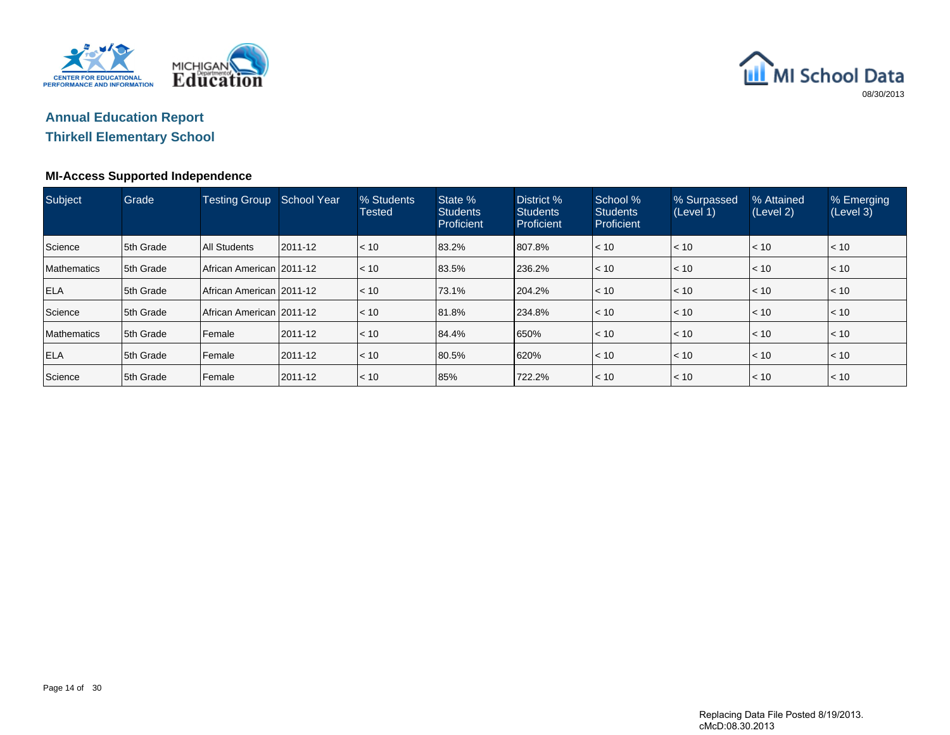



## **Thirkell Elementary School**

### **MI-Access Supported Independence**

| Subject            | Grade     | <b>Testing Group</b>     | School Year   | % Students<br><b>Tested</b> | State %<br><b>Students</b><br>Proficient | District %<br><b>Students</b><br>Proficient | School %<br><b>Students</b><br><b>Proficient</b> | % Surpassed<br>(Level 1) | % Attained<br>(Level 2) | % Emerging<br>(Level 3) |
|--------------------|-----------|--------------------------|---------------|-----------------------------|------------------------------------------|---------------------------------------------|--------------------------------------------------|--------------------------|-------------------------|-------------------------|
| Science            | 5th Grade | All Students             | $ 2011 - 12 $ | $\vert$ < 10                | 83.2%                                    | 807.8%                                      | < 10                                             | $\vert$ < 10             | < 10                    | < 10                    |
| <b>Mathematics</b> | 5th Grade | African American 2011-12 |               | $\vert$ < 10                | 83.5%                                    | 236.2%                                      | < 10                                             | $\vert$ < 10             | < 10                    | < 10                    |
| <b>ELA</b>         | 5th Grade | African American 2011-12 |               | $\vert$ < 10                | 73.1%                                    | 204.2%                                      | < 10                                             | < 10                     | < 10                    | < 10                    |
| Science            | 5th Grade | African American 2011-12 |               | $\vert$ < 10                | 81.8%                                    | 234.8%                                      | < 10                                             | < 10                     | < 10                    | < 10                    |
| Mathematics        | 5th Grade | Female                   | 2011-12       | $\vert$ < 10                | 84.4%                                    | 650%                                        | < 10                                             | < 10                     | < 10                    | < 10                    |
| <b>ELA</b>         | 5th Grade | Female                   | 2011-12       | $\vert$ < 10                | 80.5%                                    | 620%                                        | < 10                                             | < 10                     | < 10                    | < 10                    |
| Science            | 5th Grade | Female                   | 2011-12       | l< 10                       | 85%                                      | 722.2%                                      | < 10                                             | < 10                     | < 10                    | l< 10                   |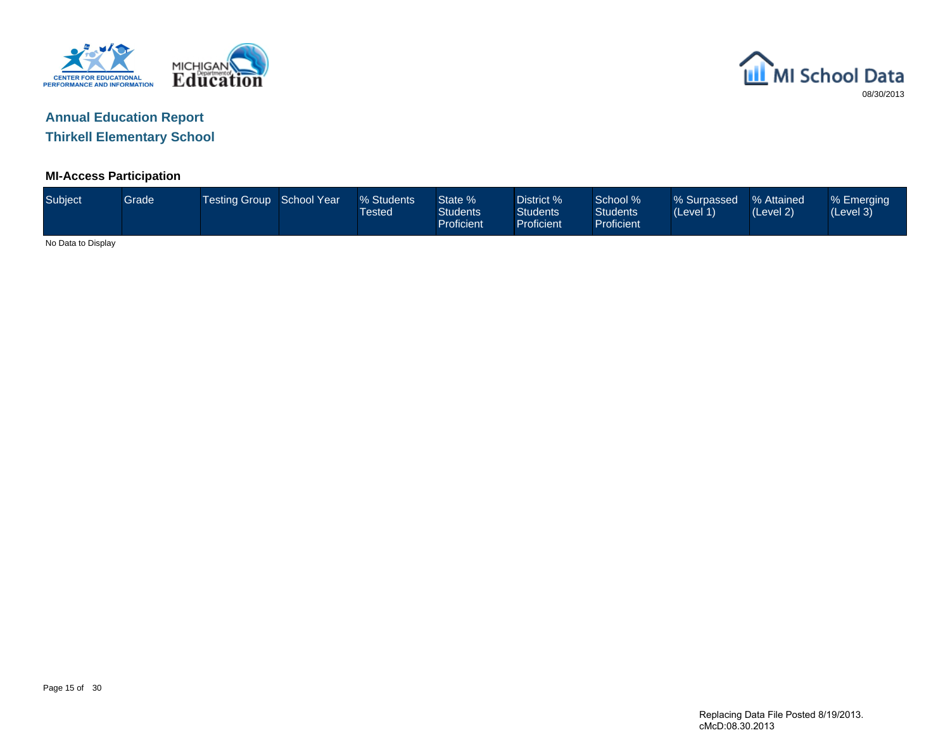



**Thirkell Elementary School**

### **MI-Access Participation**

| Subject            | Grade | Testing Group School Year | % Students<br>Tested | State %<br><b>Students</b><br><b>Proficient</b> | District %<br><b>Students</b><br><b>Proficient</b> | School %<br><b>Students</b><br>Proficient | % Surpassed<br>(Level 1) | % Attained<br>(Level 2) | % Emerging<br>(Level 3) |
|--------------------|-------|---------------------------|----------------------|-------------------------------------------------|----------------------------------------------------|-------------------------------------------|--------------------------|-------------------------|-------------------------|
| No Data to Display |       |                           |                      |                                                 |                                                    |                                           |                          |                         |                         |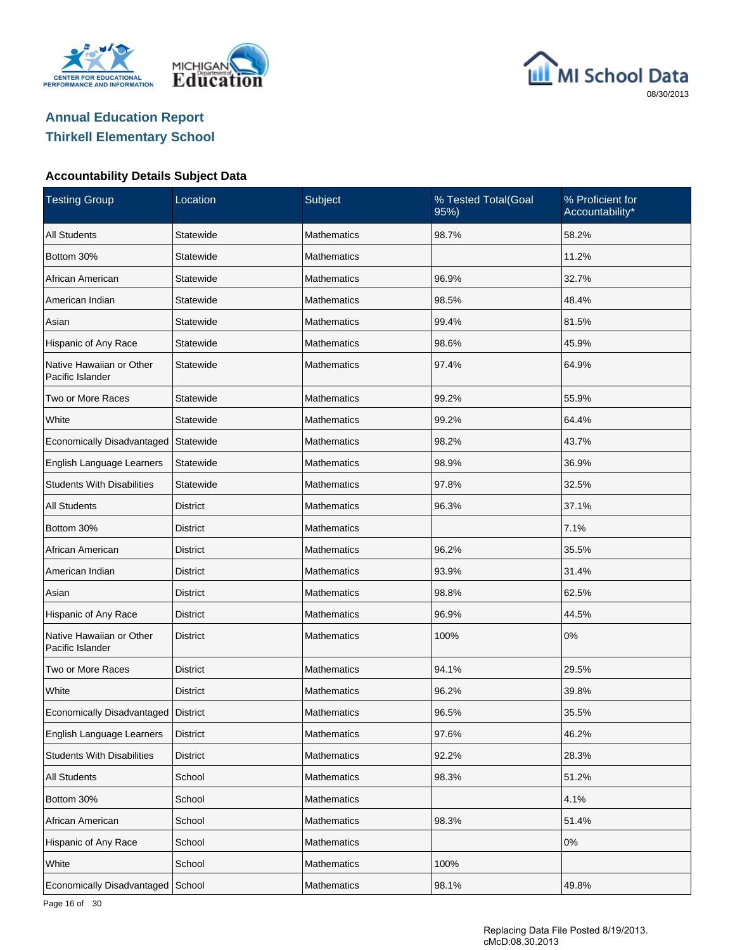





#### **Accountability Details Subject Data**

| <b>Testing Group</b>                         | Location        | Subject            | % Tested Total(Goal<br>95%) | % Proficient for<br>Accountability* |
|----------------------------------------------|-----------------|--------------------|-----------------------------|-------------------------------------|
| <b>All Students</b>                          | Statewide       | <b>Mathematics</b> | 98.7%                       | 58.2%                               |
| Bottom 30%                                   | Statewide       | <b>Mathematics</b> |                             | 11.2%                               |
| African American                             | Statewide       | Mathematics        | 96.9%                       | 32.7%                               |
| American Indian                              | Statewide       | <b>Mathematics</b> | 98.5%                       | 48.4%                               |
| Asian                                        | Statewide       | Mathematics        | 99.4%                       | 81.5%                               |
| Hispanic of Any Race                         | Statewide       | <b>Mathematics</b> | 98.6%                       | 45.9%                               |
| Native Hawaiian or Other<br>Pacific Islander | Statewide       | <b>Mathematics</b> | 97.4%                       | 64.9%                               |
| Two or More Races                            | Statewide       | <b>Mathematics</b> | 99.2%                       | 55.9%                               |
| White                                        | Statewide       | <b>Mathematics</b> | 99.2%                       | 64.4%                               |
| Economically Disadvantaged                   | Statewide       | <b>Mathematics</b> | 98.2%                       | 43.7%                               |
| English Language Learners                    | Statewide       | <b>Mathematics</b> | 98.9%                       | 36.9%                               |
| <b>Students With Disabilities</b>            | Statewide       | <b>Mathematics</b> | 97.8%                       | 32.5%                               |
| <b>All Students</b>                          | <b>District</b> | <b>Mathematics</b> | 96.3%                       | 37.1%                               |
| Bottom 30%                                   | <b>District</b> | <b>Mathematics</b> |                             | 7.1%                                |
| African American                             | <b>District</b> | <b>Mathematics</b> | 96.2%                       | 35.5%                               |
| American Indian                              | <b>District</b> | <b>Mathematics</b> | 93.9%                       | 31.4%                               |
| Asian                                        | District        | <b>Mathematics</b> | 98.8%                       | 62.5%                               |
| Hispanic of Any Race                         | <b>District</b> | <b>Mathematics</b> | 96.9%                       | 44.5%                               |
| Native Hawaiian or Other<br>Pacific Islander | <b>District</b> | <b>Mathematics</b> | 100%                        | 0%                                  |
| Two or More Races                            | District        | Mathematics        | 94.1%                       | 29.5%                               |
| White                                        | <b>District</b> | <b>Mathematics</b> | 96.2%                       | 39.8%                               |
| Economically Disadvantaged   District        |                 | Mathematics        | 96.5%                       | 35.5%                               |
| English Language Learners                    | <b>District</b> | Mathematics        | 97.6%                       | 46.2%                               |
| <b>Students With Disabilities</b>            | <b>District</b> | Mathematics        | 92.2%                       | 28.3%                               |
| All Students                                 | School          | <b>Mathematics</b> | 98.3%                       | 51.2%                               |
| Bottom 30%                                   | School          | Mathematics        |                             | 4.1%                                |
| African American                             | School          | Mathematics        | 98.3%                       | 51.4%                               |
| Hispanic of Any Race                         | School          | Mathematics        |                             | 0%                                  |
| White                                        | School          | <b>Mathematics</b> | 100%                        |                                     |
| Economically Disadvantaged                   | School          | <b>Mathematics</b> | 98.1%                       | 49.8%                               |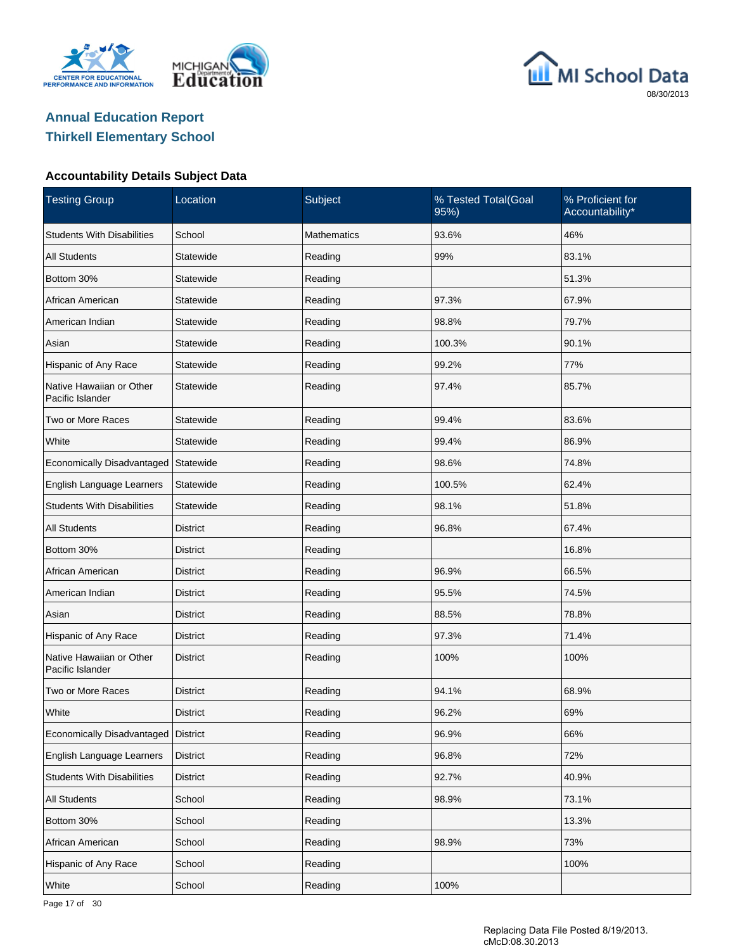





### **Accountability Details Subject Data**

| <b>Testing Group</b>                         | Location        | Subject            | % Tested Total(Goal<br>95%) | % Proficient for<br>Accountability* |
|----------------------------------------------|-----------------|--------------------|-----------------------------|-------------------------------------|
| <b>Students With Disabilities</b>            | School          | <b>Mathematics</b> | 93.6%                       | 46%                                 |
| <b>All Students</b>                          | Statewide       | Reading            | 99%                         | 83.1%                               |
| Bottom 30%                                   | Statewide       | Reading            |                             | 51.3%                               |
| African American                             | Statewide       | Reading            | 97.3%                       | 67.9%                               |
| American Indian                              | Statewide       | Reading            | 98.8%                       | 79.7%                               |
| Asian                                        | Statewide       | Reading            | 100.3%                      | 90.1%                               |
| Hispanic of Any Race                         | Statewide       | Reading            | 99.2%                       | 77%                                 |
| Native Hawaiian or Other<br>Pacific Islander | Statewide       | Reading            | 97.4%                       | 85.7%                               |
| Two or More Races                            | Statewide       | Reading            | 99.4%                       | 83.6%                               |
| White                                        | Statewide       | Reading            | 99.4%                       | 86.9%                               |
| Economically Disadvantaged                   | Statewide       | Reading            | 98.6%                       | 74.8%                               |
| English Language Learners                    | Statewide       | Reading            | 100.5%                      | 62.4%                               |
| <b>Students With Disabilities</b>            | Statewide       | Reading            | 98.1%                       | 51.8%                               |
| <b>All Students</b>                          | <b>District</b> | Reading            | 96.8%                       | 67.4%                               |
| Bottom 30%                                   | <b>District</b> | Reading            |                             | 16.8%                               |
| African American                             | District        | Reading            | 96.9%                       | 66.5%                               |
| American Indian                              | <b>District</b> | Reading            | 95.5%                       | 74.5%                               |
| Asian                                        | <b>District</b> | Reading            | 88.5%                       | 78.8%                               |
| Hispanic of Any Race                         | <b>District</b> | Reading            | 97.3%                       | 71.4%                               |
| Native Hawaiian or Other<br>Pacific Islander | <b>District</b> | Reading            | 100%                        | 100%                                |
| Two or More Races                            | District        | Reading            | 94.1%                       | 68.9%                               |
| White                                        | <b>District</b> | Reading            | 96.2%                       | 69%                                 |
| Economically Disadvantaged                   | <b>District</b> | Reading            | 96.9%                       | 66%                                 |
| English Language Learners                    | District        | Reading            | 96.8%                       | 72%                                 |
| <b>Students With Disabilities</b>            | <b>District</b> | Reading            | 92.7%                       | 40.9%                               |
| <b>All Students</b>                          | School          | Reading            | 98.9%                       | 73.1%                               |
| Bottom 30%                                   | School          | Reading            |                             | 13.3%                               |
| African American                             | School          | Reading            | 98.9%                       | 73%                                 |
| Hispanic of Any Race                         | School          | Reading            |                             | 100%                                |
| White                                        | School          | Reading            | 100%                        |                                     |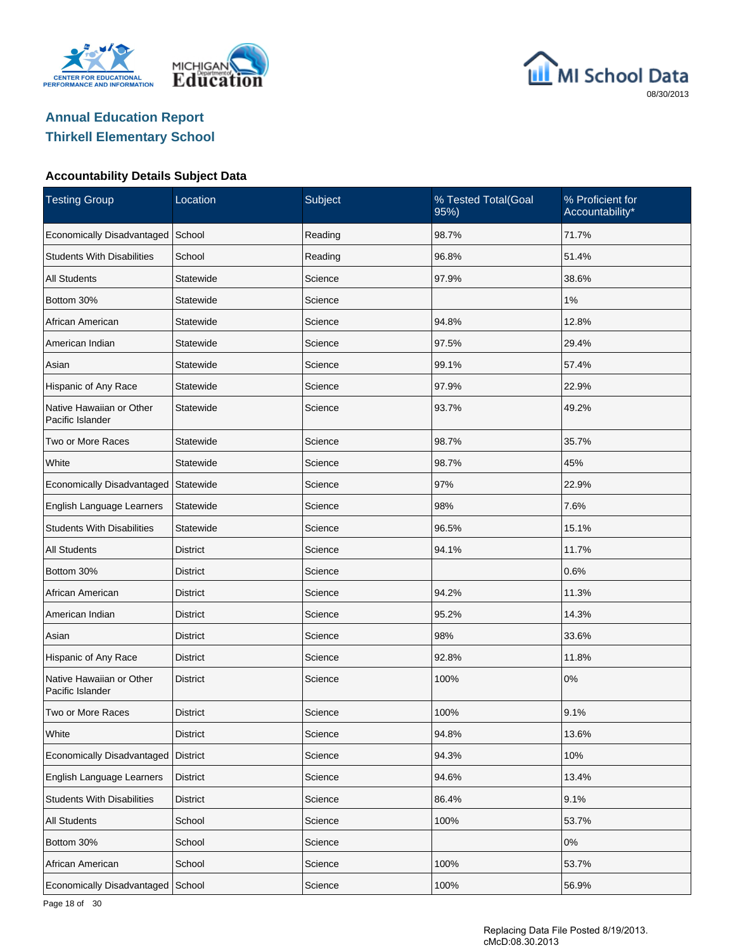





### **Accountability Details Subject Data**

| <b>Testing Group</b>                         | Location        | Subject | % Tested Total(Goal<br>95%) | % Proficient for<br>Accountability* |
|----------------------------------------------|-----------------|---------|-----------------------------|-------------------------------------|
| Economically Disadvantaged                   | School          | Reading | 98.7%                       | 71.7%                               |
| <b>Students With Disabilities</b>            | School          | Reading | 96.8%                       | 51.4%                               |
| <b>All Students</b>                          | Statewide       | Science | 97.9%                       | 38.6%                               |
| Bottom 30%                                   | Statewide       | Science |                             | 1%                                  |
| African American                             | Statewide       | Science | 94.8%                       | 12.8%                               |
| American Indian                              | Statewide       | Science | 97.5%                       | 29.4%                               |
| Asian                                        | Statewide       | Science | 99.1%                       | 57.4%                               |
| Hispanic of Any Race                         | Statewide       | Science | 97.9%                       | 22.9%                               |
| Native Hawaiian or Other<br>Pacific Islander | Statewide       | Science | 93.7%                       | 49.2%                               |
| Two or More Races                            | Statewide       | Science | 98.7%                       | 35.7%                               |
| White                                        | Statewide       | Science | 98.7%                       | 45%                                 |
| Economically Disadvantaged                   | Statewide       | Science | 97%                         | 22.9%                               |
| English Language Learners                    | Statewide       | Science | 98%                         | 7.6%                                |
| <b>Students With Disabilities</b>            | Statewide       | Science | 96.5%                       | 15.1%                               |
| <b>All Students</b>                          | <b>District</b> | Science | 94.1%                       | 11.7%                               |
| Bottom 30%                                   | District        | Science |                             | 0.6%                                |
| African American                             | District        | Science | 94.2%                       | 11.3%                               |
| American Indian                              | District        | Science | 95.2%                       | 14.3%                               |
| Asian                                        | <b>District</b> | Science | 98%                         | 33.6%                               |
| Hispanic of Any Race                         | <b>District</b> | Science | 92.8%                       | 11.8%                               |
| Native Hawaiian or Other<br>Pacific Islander | <b>District</b> | Science | 100%                        | 0%                                  |
| Two or More Races                            | <b>District</b> | Science | 100%                        | 9.1%                                |
| White                                        | <b>District</b> | Science | 94.8%                       | 13.6%                               |
| Economically Disadvantaged                   | <b>District</b> | Science | 94.3%                       | 10%                                 |
| English Language Learners                    | <b>District</b> | Science | 94.6%                       | 13.4%                               |
| <b>Students With Disabilities</b>            | District        | Science | 86.4%                       | 9.1%                                |
| All Students                                 | School          | Science | 100%                        | 53.7%                               |
| Bottom 30%                                   | School          | Science |                             | 0%                                  |
| African American                             | School          | Science | 100%                        | 53.7%                               |
| Economically Disadvantaged                   | School          | Science | 100%                        | 56.9%                               |

Page 18 of 30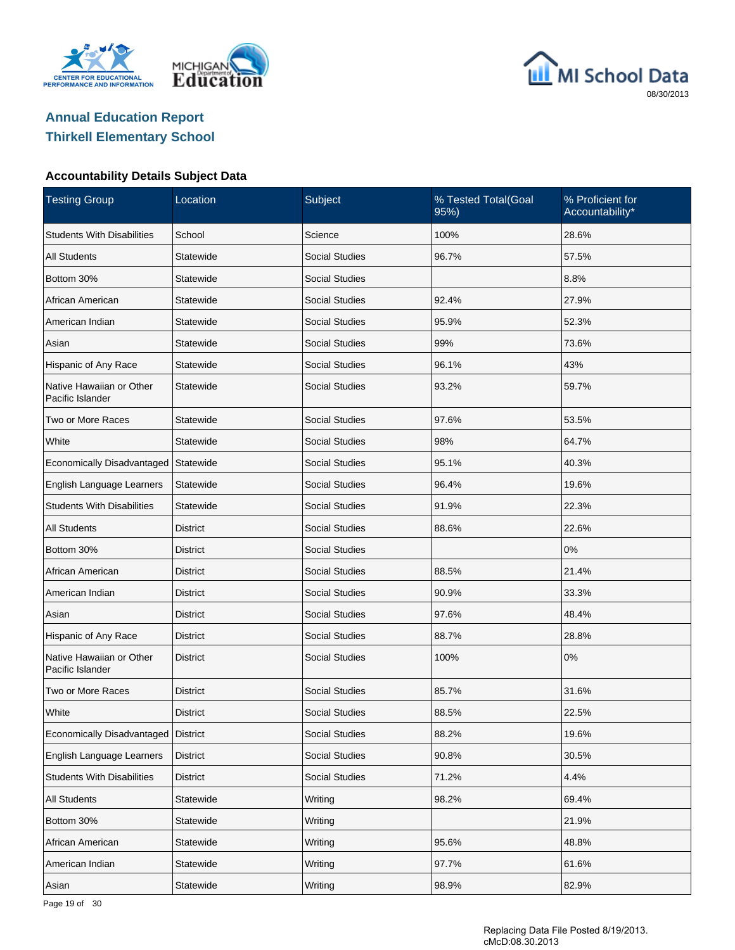





#### **Accountability Details Subject Data**

| <b>Testing Group</b>                         | Location        | Subject               | % Tested Total(Goal<br>95%) | % Proficient for<br>Accountability* |
|----------------------------------------------|-----------------|-----------------------|-----------------------------|-------------------------------------|
| <b>Students With Disabilities</b>            | School          | Science               | 100%                        | 28.6%                               |
| <b>All Students</b>                          | Statewide       | <b>Social Studies</b> | 96.7%                       | 57.5%                               |
| Bottom 30%                                   | Statewide       | <b>Social Studies</b> |                             | 8.8%                                |
| African American                             | Statewide       | <b>Social Studies</b> | 92.4%                       | 27.9%                               |
| American Indian                              | Statewide       | <b>Social Studies</b> | 95.9%                       | 52.3%                               |
| Asian                                        | Statewide       | <b>Social Studies</b> | 99%                         | 73.6%                               |
| Hispanic of Any Race                         | Statewide       | <b>Social Studies</b> | 96.1%                       | 43%                                 |
| Native Hawaiian or Other<br>Pacific Islander | Statewide       | <b>Social Studies</b> | 93.2%                       | 59.7%                               |
| Two or More Races                            | Statewide       | <b>Social Studies</b> | 97.6%                       | 53.5%                               |
| White                                        | Statewide       | <b>Social Studies</b> | 98%                         | 64.7%                               |
| Economically Disadvantaged                   | Statewide       | <b>Social Studies</b> | 95.1%                       | 40.3%                               |
| English Language Learners                    | Statewide       | <b>Social Studies</b> | 96.4%                       | 19.6%                               |
| <b>Students With Disabilities</b>            | Statewide       | <b>Social Studies</b> | 91.9%                       | 22.3%                               |
| All Students                                 | <b>District</b> | <b>Social Studies</b> | 88.6%                       | 22.6%                               |
| Bottom 30%                                   | <b>District</b> | <b>Social Studies</b> |                             | 0%                                  |
| African American                             | <b>District</b> | <b>Social Studies</b> | 88.5%                       | 21.4%                               |
| American Indian                              | District        | <b>Social Studies</b> | 90.9%                       | 33.3%                               |
| Asian                                        | <b>District</b> | <b>Social Studies</b> | 97.6%                       | 48.4%                               |
| Hispanic of Any Race                         | District        | <b>Social Studies</b> | 88.7%                       | 28.8%                               |
| Native Hawaiian or Other<br>Pacific Islander | <b>District</b> | <b>Social Studies</b> | 100%                        | 0%                                  |
| Two or More Races                            | <b>District</b> | <b>Social Studies</b> | 85.7%                       | 31.6%                               |
| White                                        | <b>District</b> | <b>Social Studies</b> | 88.5%                       | 22.5%                               |
| Economically Disadvantaged                   | <b>District</b> | Social Studies        | 88.2%                       | 19.6%                               |
| English Language Learners                    | <b>District</b> | Social Studies        | 90.8%                       | 30.5%                               |
| <b>Students With Disabilities</b>            | <b>District</b> | Social Studies        | 71.2%                       | 4.4%                                |
| All Students                                 | Statewide       | Writing               | 98.2%                       | 69.4%                               |
| Bottom 30%                                   | Statewide       | Writing               |                             | 21.9%                               |
| African American                             | Statewide       | Writing               | 95.6%                       | 48.8%                               |
| American Indian                              | Statewide       | Writing               | 97.7%                       | 61.6%                               |
| Asian                                        | Statewide       | Writing               | 98.9%                       | 82.9%                               |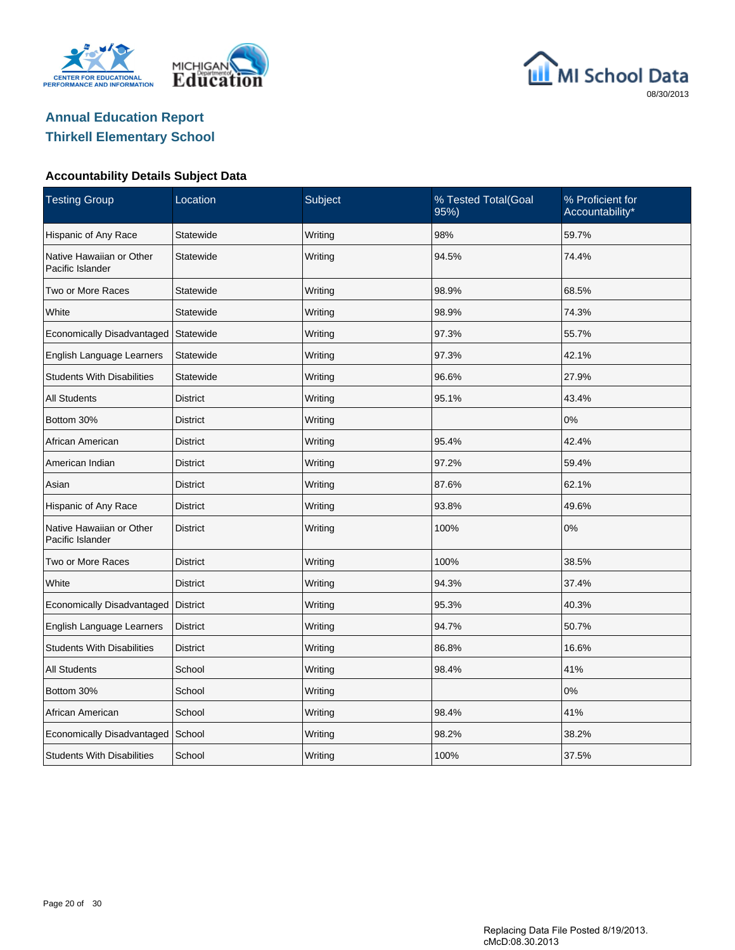





### **Accountability Details Subject Data**

| <b>Testing Group</b>                         | Location                      | Subject          | % Tested Total(Goal<br>95%) | % Proficient for<br>Accountability* |
|----------------------------------------------|-------------------------------|------------------|-----------------------------|-------------------------------------|
| Hispanic of Any Race                         | Statewide                     | Writing          | 98%                         | 59.7%                               |
| Native Hawaiian or Other<br>Pacific Islander | Statewide                     | Writing          | 94.5%                       | 74.4%                               |
| Two or More Races                            | Statewide                     | Writing          | 98.9%                       | 68.5%                               |
| White                                        | Statewide                     | Writing          | 98.9%                       | 74.3%                               |
| Economically Disadvantaged                   | Statewide                     | Writing          | 97.3%                       | 55.7%                               |
| English Language Learners                    | Statewide                     | Writing<br>97.3% |                             | 42.1%                               |
| <b>Students With Disabilities</b>            | Statewide<br>Writing<br>96.6% |                  |                             | 27.9%                               |
| <b>All Students</b>                          | <b>District</b>               | Writing          | 95.1%                       | 43.4%                               |
| Bottom 30%                                   | <b>District</b>               | Writing          |                             | 0%                                  |
| African American                             | <b>District</b>               | Writing          | 95.4%                       | 42.4%                               |
| American Indian                              | <b>District</b>               | Writing          | 97.2%                       | 59.4%                               |
| Asian                                        | <b>District</b>               | Writing          | 87.6%                       | 62.1%                               |
| Hispanic of Any Race                         | <b>District</b>               | Writing          | 93.8%                       | 49.6%                               |
| Native Hawaiian or Other<br>Pacific Islander | <b>District</b>               | Writing          | 100%                        | 0%                                  |
| Two or More Races                            | <b>District</b>               | Writing          | 100%                        | 38.5%                               |
| White                                        | <b>District</b>               | Writing          | 94.3%                       | 37.4%                               |
| Economically Disadvantaged                   | <b>District</b>               | Writing          | 95.3%                       | 40.3%                               |
| English Language Learners                    | <b>District</b>               | Writing          | 94.7%                       | 50.7%                               |
| <b>Students With Disabilities</b>            | <b>District</b>               | Writing          | 86.8%                       | 16.6%                               |
| All Students                                 | School                        | Writing          | 98.4%                       | 41%                                 |
| Bottom 30%                                   | School                        | Writing          |                             | 0%                                  |
| African American                             | School                        | Writing          | 98.4%                       | 41%                                 |
| Economically Disadvantaged                   | School                        | Writing          | 98.2%                       | 38.2%                               |
| <b>Students With Disabilities</b>            | School                        | Writing          | 100%                        | 37.5%                               |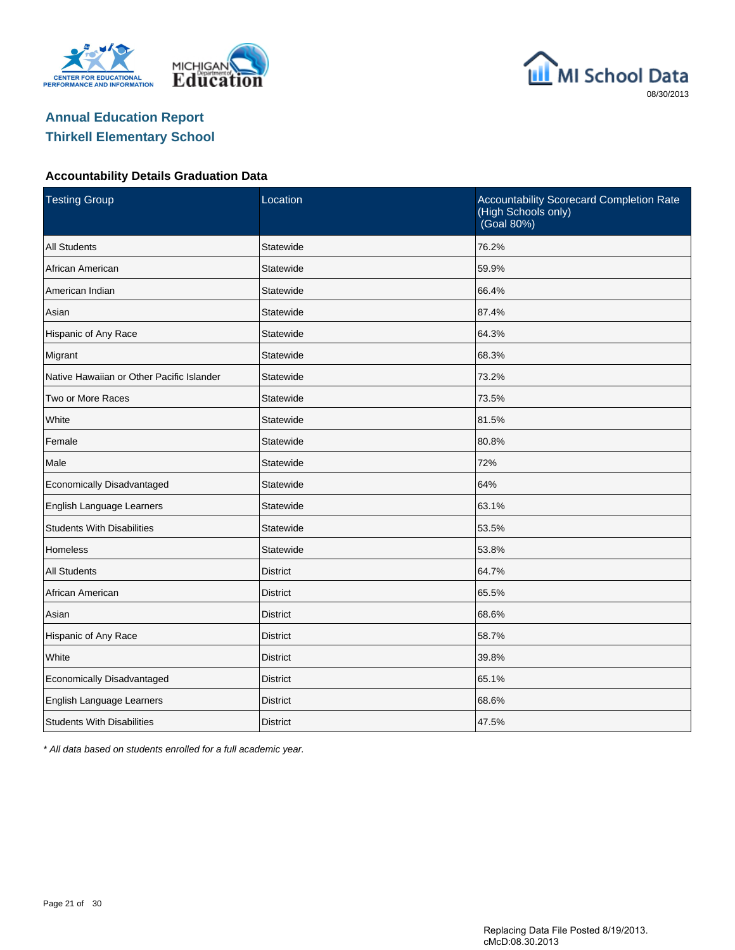





#### **Accountability Details Graduation Data**

| <b>Testing Group</b>                      | Location        | Accountability Scorecard Completion Rate<br>(High Schools only)<br>(Goal 80%) |
|-------------------------------------------|-----------------|-------------------------------------------------------------------------------|
| <b>All Students</b>                       | Statewide       | 76.2%                                                                         |
| African American                          | Statewide       | 59.9%                                                                         |
| American Indian                           | Statewide       | 66.4%                                                                         |
| Asian                                     | Statewide       | 87.4%                                                                         |
| Hispanic of Any Race                      | Statewide       | 64.3%                                                                         |
| Migrant                                   | Statewide       | 68.3%                                                                         |
| Native Hawaiian or Other Pacific Islander | Statewide       | 73.2%                                                                         |
| Two or More Races                         | Statewide       | 73.5%                                                                         |
| White                                     | Statewide       | 81.5%                                                                         |
| Female                                    | Statewide       | 80.8%                                                                         |
| Male                                      | Statewide       | 72%                                                                           |
| Economically Disadvantaged                | Statewide       | 64%                                                                           |
| English Language Learners                 | Statewide       | 63.1%                                                                         |
| <b>Students With Disabilities</b>         | Statewide       | 53.5%                                                                         |
| <b>Homeless</b>                           | Statewide       | 53.8%                                                                         |
| <b>All Students</b>                       | <b>District</b> | 64.7%                                                                         |
| African American                          | District        | 65.5%                                                                         |
| Asian                                     | <b>District</b> | 68.6%                                                                         |
| Hispanic of Any Race                      | <b>District</b> | 58.7%                                                                         |
| White                                     | <b>District</b> | 39.8%                                                                         |
| Economically Disadvantaged                | <b>District</b> | 65.1%                                                                         |
| English Language Learners                 | <b>District</b> | 68.6%                                                                         |
| <b>Students With Disabilities</b>         | <b>District</b> | 47.5%                                                                         |

\* All data based on students enrolled for a full academic year.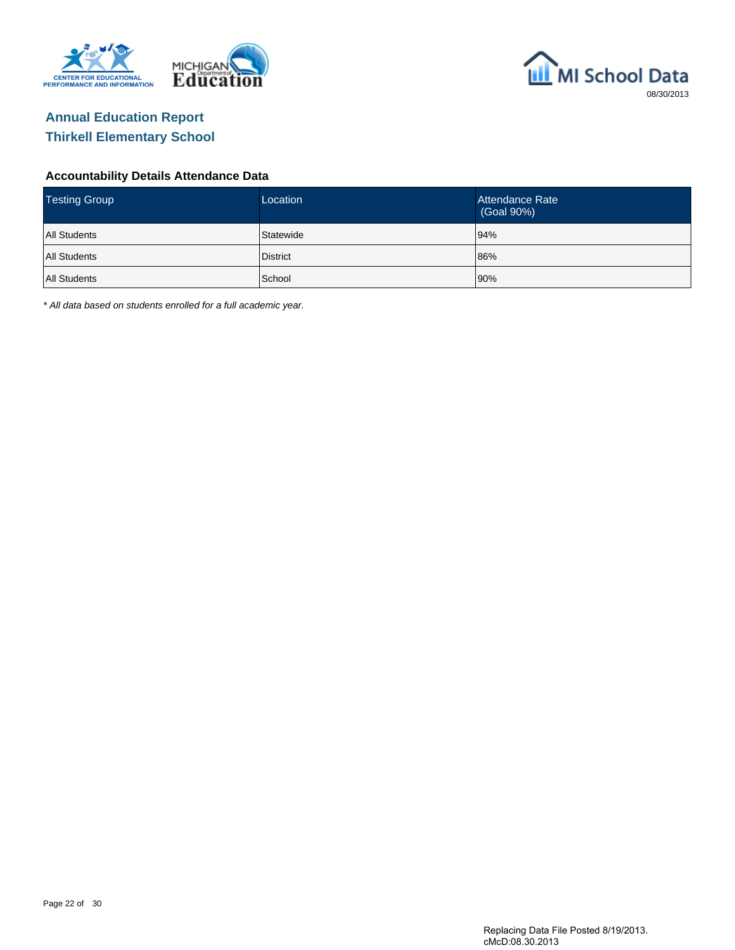



#### **Accountability Details Attendance Data**

| <b>Testing Group</b> | Location        | Attendance Rate<br>(Goal 90%) |
|----------------------|-----------------|-------------------------------|
| <b>All Students</b>  | Statewide       | 94%                           |
| <b>All Students</b>  | <b>District</b> | 86%                           |
| <b>All Students</b>  | School          | 90%                           |

\* All data based on students enrolled for a full academic year.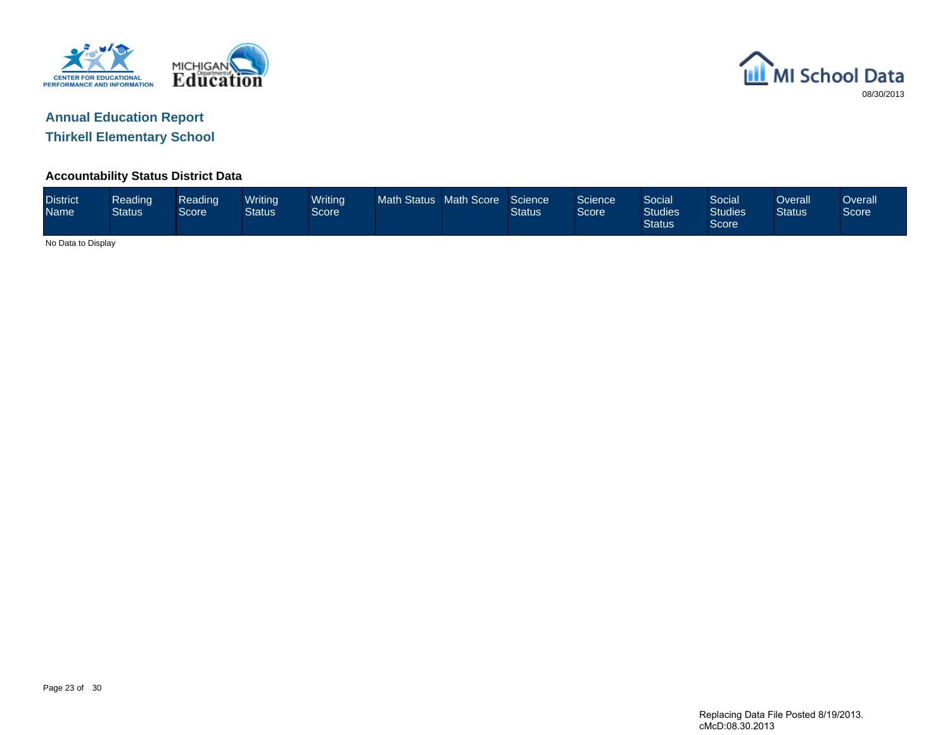



**Thirkell Elementary School**

#### **Accountability Status District Data**

| <b>District</b><br><b>Name</b> | Reading<br><b>Status</b> | Reading<br>Score | Writing<br>Status | <b>Writing</b><br>Score | Math Status Math Score |  | Science<br><b>Status</b> | Science<br>Score | Social<br><b>Studies</b><br><b>Status</b> | Social<br><b>Studies</b><br>Score | Overall<br><b>Status</b> | $\sqrt{2}$ verall<br>Score |
|--------------------------------|--------------------------|------------------|-------------------|-------------------------|------------------------|--|--------------------------|------------------|-------------------------------------------|-----------------------------------|--------------------------|----------------------------|
|                                | No Data to Display       |                  |                   |                         |                        |  |                          |                  |                                           |                                   |                          |                            |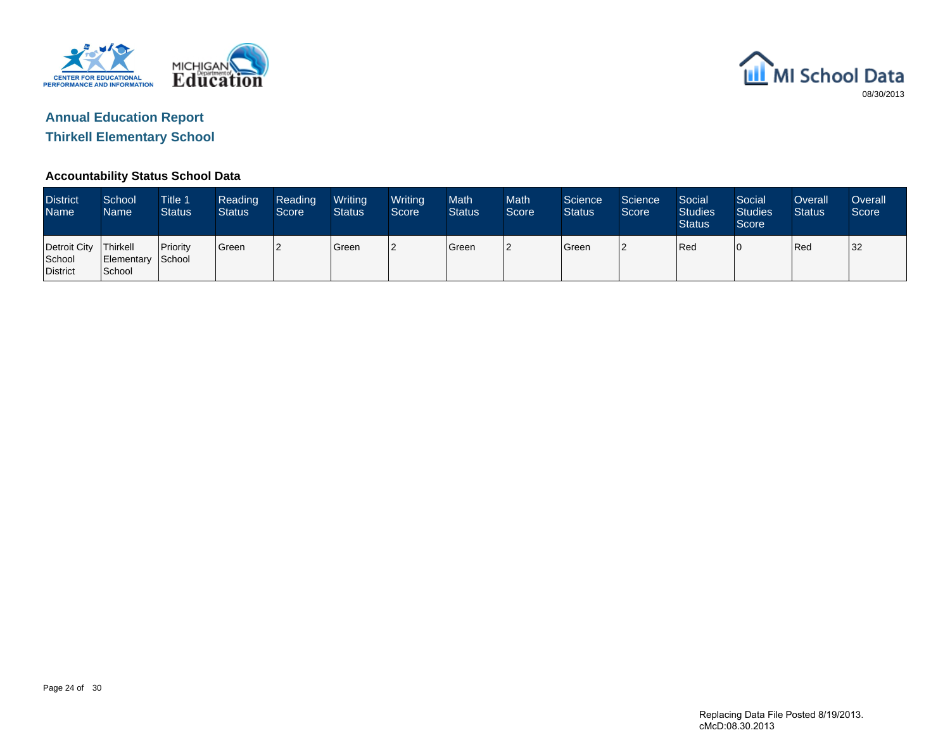



**Thirkell Elementary School**

### **Accountability Status School Data**

| <b>District</b><br><b>Name</b>                | School<br>Name              | <b>Title 1</b><br><b>Status</b> | Reading<br><b>Status</b> | Reading<br>Score | Writing<br><b>Status</b> | Writing<br>Score | <b>Math</b><br><b>Status</b> | <b>Math</b><br>Score | Science<br><b>Status</b> | Science<br>Score | Social<br><b>Studies</b><br><b>Status</b> | Social<br><b>Studies</b><br>Score | Overall<br><b>Status</b> | <b>Overall</b><br>Score |
|-----------------------------------------------|-----------------------------|---------------------------------|--------------------------|------------------|--------------------------|------------------|------------------------------|----------------------|--------------------------|------------------|-------------------------------------------|-----------------------------------|--------------------------|-------------------------|
| Detroit City   Thirkell<br>School<br>District | Elementary School<br>School | <b>Priority</b>                 | <sup>I</sup> Green       | 12               | <b>Green</b>             | 2                | Green                        |                      | l Green                  | ר ו              | <b>IRed</b>                               |                                   | <b>IRed</b>              | 32                      |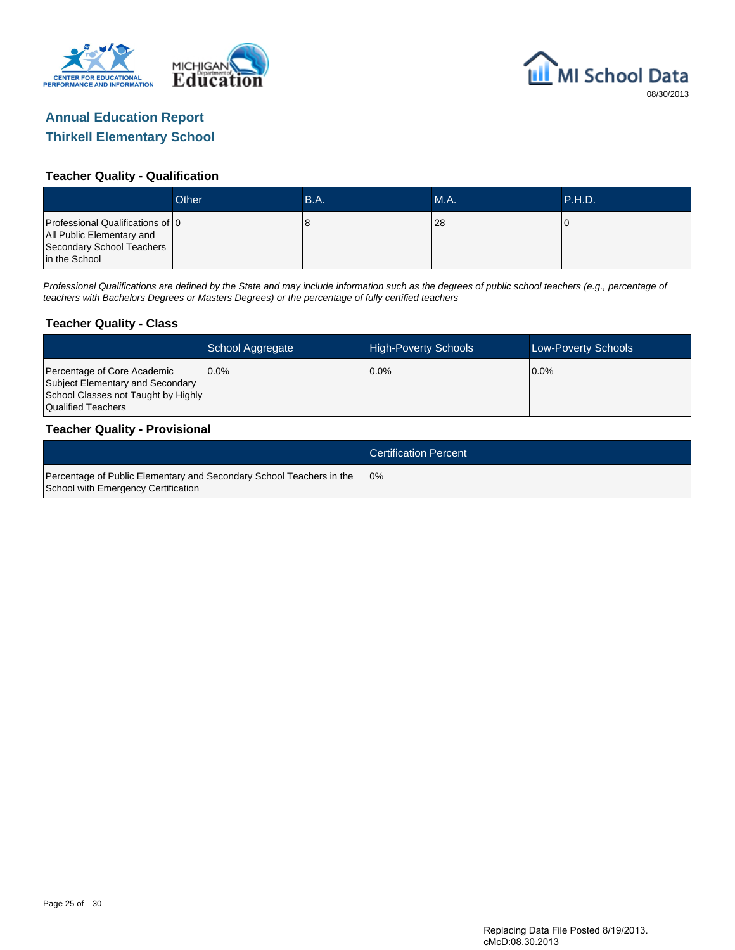



#### **Teacher Quality - Qualification**

|                                                                                                              | Other | <b>B.A.</b> | MA. | <b>P.H.D.</b> |
|--------------------------------------------------------------------------------------------------------------|-------|-------------|-----|---------------|
| Professional Qualifications of 10<br>All Public Elementary and<br>Secondary School Teachers<br>in the School |       | 8.          | 28  |               |

Professional Qualifications are defined by the State and may include information such as the degrees of public school teachers (e.g., percentage of teachers with Bachelors Degrees or Masters Degrees) or the percentage of fully certified teachers

#### **Teacher Quality - Class**

|                                                                                                                              | School Aggregate | <b>High-Poverty Schools</b> | Low-Poverty Schools |
|------------------------------------------------------------------------------------------------------------------------------|------------------|-----------------------------|---------------------|
| Percentage of Core Academic<br>Subject Elementary and Secondary<br>School Classes not Taught by Highly<br>Qualified Teachers | $0.0\%$          | $0.0\%$                     | $0.0\%$             |

#### **Teacher Quality - Provisional**

|                                                                                                             | <b>Certification Percent</b> |
|-------------------------------------------------------------------------------------------------------------|------------------------------|
| Percentage of Public Elementary and Secondary School Teachers in the<br>School with Emergency Certification | 10%                          |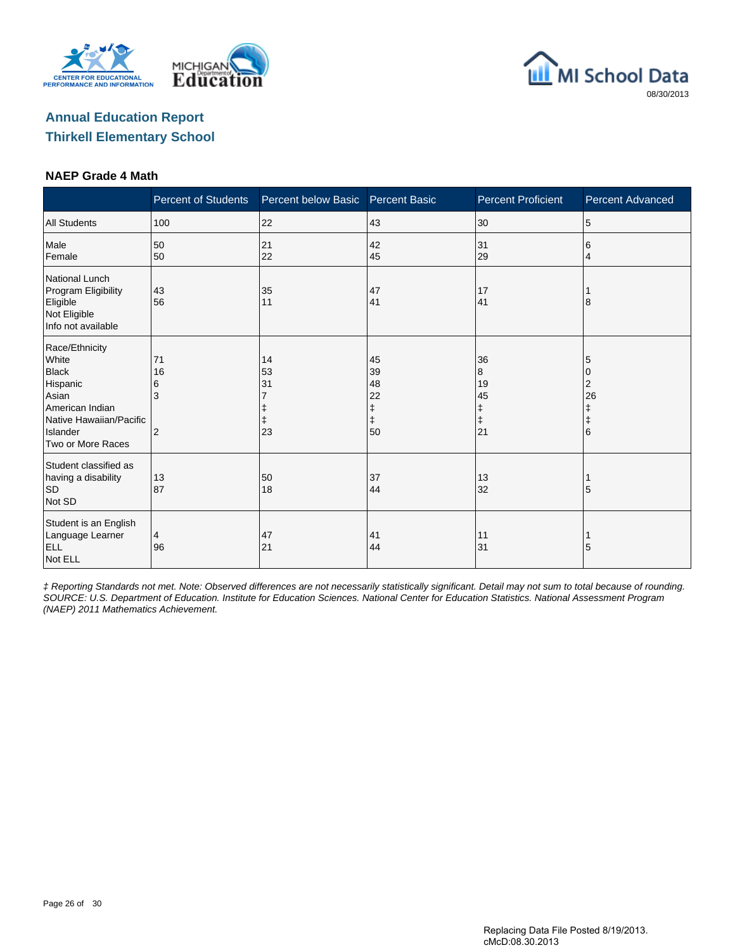





#### **NAEP Grade 4 Math**

|                                                                                                                                             | <b>Percent of Students</b>           | Percent below Basic  | <b>Percent Basic</b>                                                                  | <b>Percent Proficient</b>                    | <b>Percent Advanced</b>                   |
|---------------------------------------------------------------------------------------------------------------------------------------------|--------------------------------------|----------------------|---------------------------------------------------------------------------------------|----------------------------------------------|-------------------------------------------|
| <b>All Students</b>                                                                                                                         | 100                                  | 22                   | 43                                                                                    | 30                                           | 5                                         |
| Male<br>Female                                                                                                                              | 50<br>50                             | 21<br>22             | 42<br>45                                                                              | 31<br>29                                     | 6<br>4                                    |
| <b>National Lunch</b><br>Program Eligibility<br>Eligible<br>Not Eligible<br>Info not available                                              | 43<br>56                             | 35<br>11             | 47<br>41                                                                              | 17<br>41                                     | 8                                         |
| Race/Ethnicity<br>White<br><b>Black</b><br>Hispanic<br>Asian<br>American Indian<br>Native Hawaiian/Pacific<br>Islander<br>Two or More Races | 71<br>16<br>6<br>3<br>$\overline{2}$ | 14<br>53<br>31<br>23 | 45<br>39<br>48<br>22<br>$\begin{array}{c} \texttt{+} \\ \texttt{+} \end{array}$<br>50 | 36<br>8<br>19<br>45<br>ŧ<br>$\ddagger$<br>21 | 5<br>0<br>2<br>26<br>ŧ<br>$\ddagger$<br>6 |
| Student classified as<br>having a disability<br><b>SD</b><br>Not SD                                                                         | 13<br>87                             | 50<br>18             | 37<br>44                                                                              | 13<br>32                                     | 5                                         |
| Student is an English<br>Language Learner<br><b>ELL</b><br>Not ELL                                                                          | 4<br>96                              | 47<br>21             | 41<br>44                                                                              | 11<br>31                                     | 5                                         |

‡ Reporting Standards not met. Note: Observed differences are not necessarily statistically significant. Detail may not sum to total because of rounding. SOURCE: U.S. Department of Education. Institute for Education Sciences. National Center for Education Statistics. National Assessment Program (NAEP) 2011 Mathematics Achievement.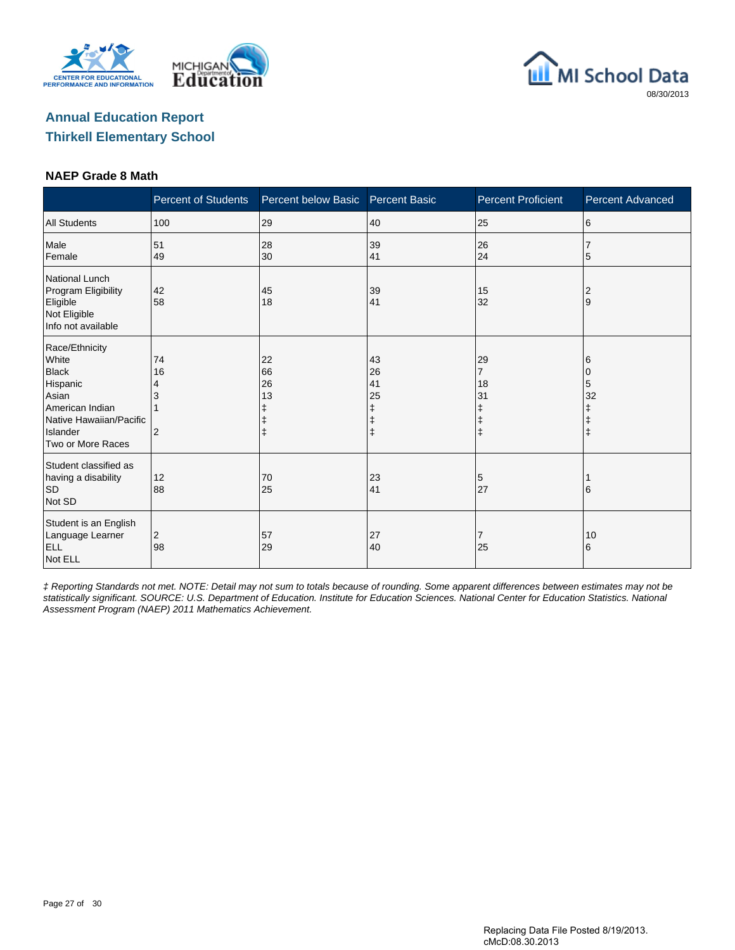





#### **NAEP Grade 8 Math**

|                                                                                                                                             | <b>Percent of Students</b>      | Percent below Basic                     | <b>Percent Basic</b> | <b>Percent Proficient</b>                   | <b>Percent Advanced</b>      |
|---------------------------------------------------------------------------------------------------------------------------------------------|---------------------------------|-----------------------------------------|----------------------|---------------------------------------------|------------------------------|
| <b>All Students</b>                                                                                                                         | 100                             | 29                                      | 40                   | 25                                          | 6                            |
| Male<br>Female                                                                                                                              | 51<br>49                        | 28<br>30                                | 39<br>41             | 26<br>24                                    | 5                            |
| National Lunch<br>Program Eligibility<br>Eligible<br>Not Eligible<br>Info not available                                                     | 42<br>58                        | 45<br>18                                | 39<br>41             | 15<br>32                                    | 2<br>Ι9                      |
| Race/Ethnicity<br>White<br><b>Black</b><br>Hispanic<br>Asian<br>American Indian<br>Native Hawaiian/Pacific<br>Islander<br>Two or More Races | 74<br>16<br>4<br>$\overline{2}$ | 22<br>66<br>26<br>13<br>ŧ<br>$\ddagger$ | 43<br>26<br>41<br>25 | 29<br>7<br>18<br>31<br>ŧ<br>ŧ<br>$\ddagger$ | 6<br>0<br>5<br>32<br>ŧ<br>ı‡ |
| Student classified as<br>having a disability<br>SD<br>Not SD                                                                                | 12<br>88                        | 70<br>25                                | 23<br>41             | 5<br>27                                     | 16                           |
| Student is an English<br>Language Learner<br><b>ELL</b><br>Not ELL                                                                          | $\overline{2}$<br>98            | 57<br>29                                | 27<br>40             | 7<br>25                                     | 10<br>6                      |

‡ Reporting Standards not met. NOTE: Detail may not sum to totals because of rounding. Some apparent differences between estimates may not be statistically significant. SOURCE: U.S. Department of Education. Institute for Education Sciences. National Center for Education Statistics. National Assessment Program (NAEP) 2011 Mathematics Achievement.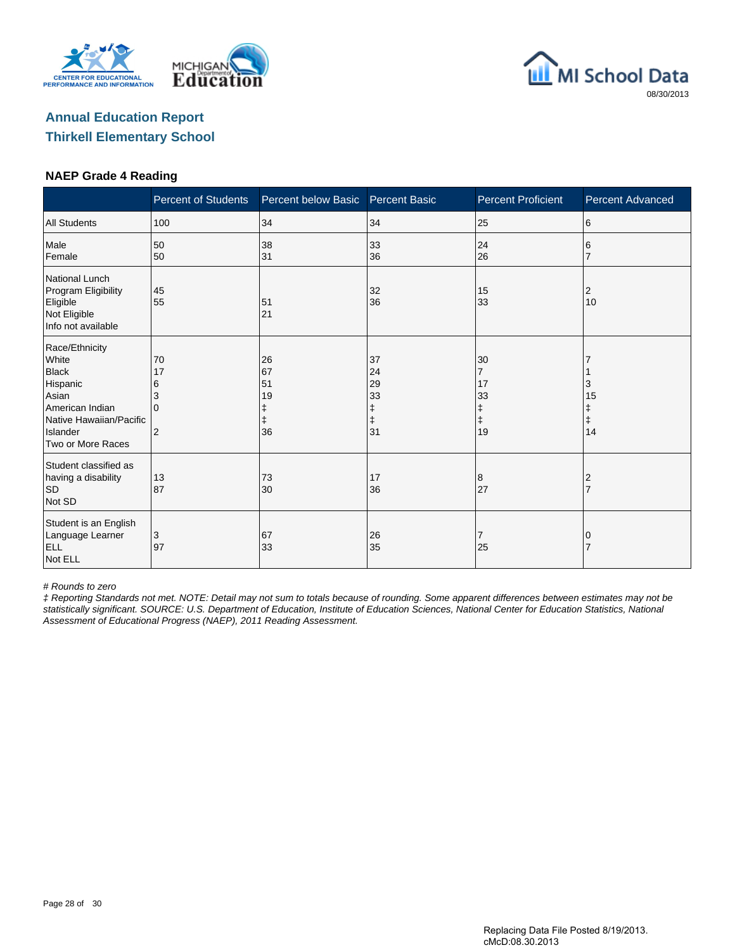





#### **NAEP Grade 4 Reading**

|                                                                                                                                             | <b>Percent of Students</b>                           | Percent below Basic        | <b>Percent Basic</b>                 | <b>Percent Proficient</b>                                 | <b>Percent Advanced</b>          |
|---------------------------------------------------------------------------------------------------------------------------------------------|------------------------------------------------------|----------------------------|--------------------------------------|-----------------------------------------------------------|----------------------------------|
| <b>All Students</b>                                                                                                                         | 100                                                  | 34                         | 34                                   | 25                                                        | 6                                |
| Male<br>Female                                                                                                                              | 50<br>50                                             | 38<br>31                   | 33<br>36                             | 24<br>26                                                  | 6                                |
| <b>National Lunch</b><br>Program Eligibility<br>Eligible<br>Not Eligible<br>Info not available                                              | 45<br>55                                             | 51<br>21                   | 32<br>36                             | 15<br>33                                                  | 2<br>10                          |
| Race/Ethnicity<br>White<br><b>Black</b><br>Hispanic<br>Asian<br>American Indian<br>Native Hawaiian/Pacific<br>Islander<br>Two or More Races | 70<br>17<br>6<br>3<br><sup>0</sup><br>$\overline{2}$ | 26<br>67<br>51<br>19<br>36 | 37<br>24<br>29<br>33<br>ŧ<br>ŧ<br>31 | 30<br>$\overline{7}$<br>17<br>33<br>ŧ<br>$\ddagger$<br>19 | 3<br>15<br>Ŧ<br>$\ddagger$<br>14 |
| Student classified as<br>having a disability<br><b>SD</b><br>Not SD                                                                         | 13<br>87                                             | 73<br>30                   | 17<br>36                             | 8<br>27                                                   | 2<br>$\overline{7}$              |
| Student is an English<br>Language Learner<br><b>ELL</b><br>Not ELL                                                                          | 3<br>97                                              | 67<br>33                   | 26<br>35                             | 7<br>25                                                   | 0                                |

# Rounds to zero

‡ Reporting Standards not met. NOTE: Detail may not sum to totals because of rounding. Some apparent differences between estimates may not be statistically significant. SOURCE: U.S. Department of Education, Institute of Education Sciences, National Center for Education Statistics, National Assessment of Educational Progress (NAEP), 2011 Reading Assessment.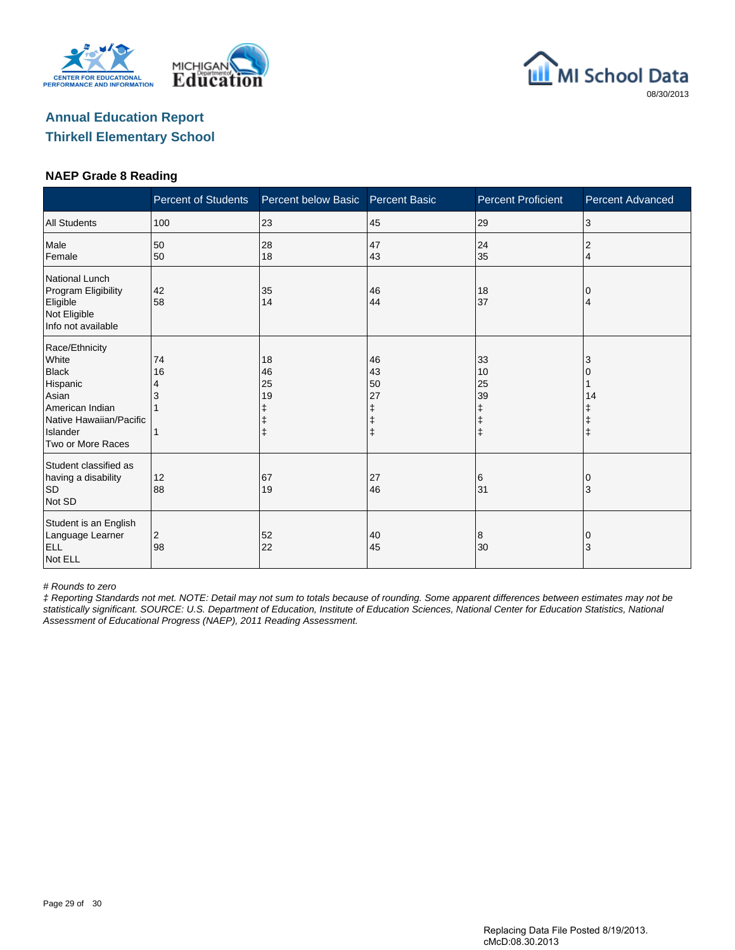





#### **NAEP Grade 8 Reading**

|                                                                                                                                             | <b>Percent of Students</b> | Percent below Basic  | <b>Percent Basic</b>      | <b>Percent Proficient</b>                             | <b>Percent Advanced</b> |
|---------------------------------------------------------------------------------------------------------------------------------------------|----------------------------|----------------------|---------------------------|-------------------------------------------------------|-------------------------|
| <b>All Students</b>                                                                                                                         | 100                        | 23                   | 45                        | 29                                                    | 3                       |
| Male<br>Female                                                                                                                              | 50<br>50                   | 28<br>18             | 47<br>43                  | 24<br>35                                              | 2<br>4                  |
| <b>National Lunch</b><br>Program Eligibility<br>Eligible<br>Not Eligible<br>Info not available                                              | 42<br>58                   | 35<br>14             | 46<br>44                  | 18<br>37                                              | 0<br>4                  |
| Race/Ethnicity<br>White<br><b>Black</b><br>Hispanic<br>Asian<br>American Indian<br>Native Hawaiian/Pacific<br>Islander<br>Two or More Races | 74<br>16<br>4              | 18<br>46<br>25<br>19 | 46<br>43<br>50<br>27<br>ŧ | 33<br>10<br>25<br>39<br>ŧ<br>$\ddagger$<br>$\ddagger$ | 3<br>14<br>$\ddagger$   |
| Student classified as<br>having a disability<br><b>SD</b><br>Not SD                                                                         | 12<br>88                   | 67<br>19             | 27<br>46                  | 6<br>31                                               | 0<br>3                  |
| Student is an English<br>Language Learner<br><b>ELL</b><br>Not ELL                                                                          | 2<br>98                    | 52<br>22             | 40<br>45                  | 8<br>30                                               | 0<br>3                  |

# Rounds to zero

‡ Reporting Standards not met. NOTE: Detail may not sum to totals because of rounding. Some apparent differences between estimates may not be statistically significant. SOURCE: U.S. Department of Education, Institute of Education Sciences, National Center for Education Statistics, National Assessment of Educational Progress (NAEP), 2011 Reading Assessment.